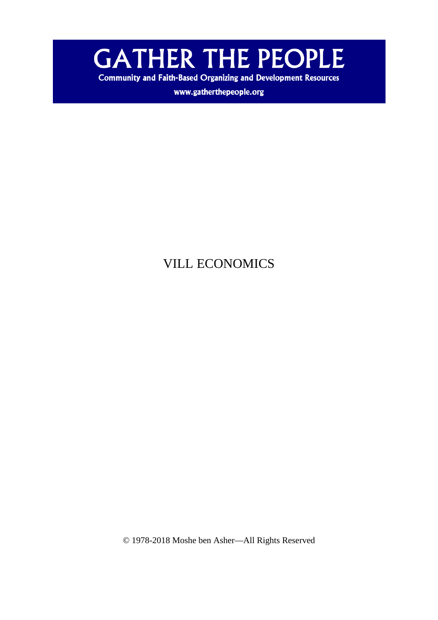

**Community and Faith-Based Organizing and Development Resources** 

www.gatherthepeople.org

# VILL ECONOMICS

© 1978-2018 Moshe ben Asher—All Rights Reserved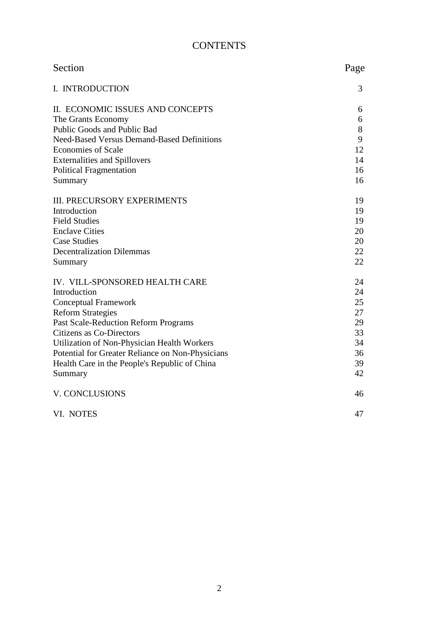# **CONTENTS**

| Section                                           | Page |
|---------------------------------------------------|------|
| I. INTRODUCTION                                   | 3    |
| II. ECONOMIC ISSUES AND CONCEPTS                  | 6    |
| The Grants Economy                                | 6    |
| Public Goods and Public Bad                       | 8    |
| <b>Need-Based Versus Demand-Based Definitions</b> | 9    |
| <b>Economies of Scale</b>                         | 12   |
| <b>Externalities and Spillovers</b>               | 14   |
| <b>Political Fragmentation</b>                    | 16   |
| Summary                                           | 16   |
| <b>III. PRECURSORY EXPERIMENTS</b>                | 19   |
| Introduction                                      | 19   |
| <b>Field Studies</b>                              | 19   |
| <b>Enclave Cities</b>                             | 20   |
| <b>Case Studies</b>                               | 20   |
| <b>Decentralization Dilemmas</b>                  | 22   |
| Summary                                           | 22   |
| IV. VILL-SPONSORED HEALTH CARE                    | 24   |
| Introduction                                      | 24   |
| <b>Conceptual Framework</b>                       | 25   |
| <b>Reform Strategies</b>                          | 27   |
| Past Scale-Reduction Reform Programs              | 29   |
| Citizens as Co-Directors                          | 33   |
| Utilization of Non-Physician Health Workers       | 34   |
| Potential for Greater Reliance on Non-Physicians  | 36   |
| Health Care in the People's Republic of China     | 39   |
| Summary                                           | 42   |
| V. CONCLUSIONS                                    | 46   |
| VI. NOTES                                         | 47   |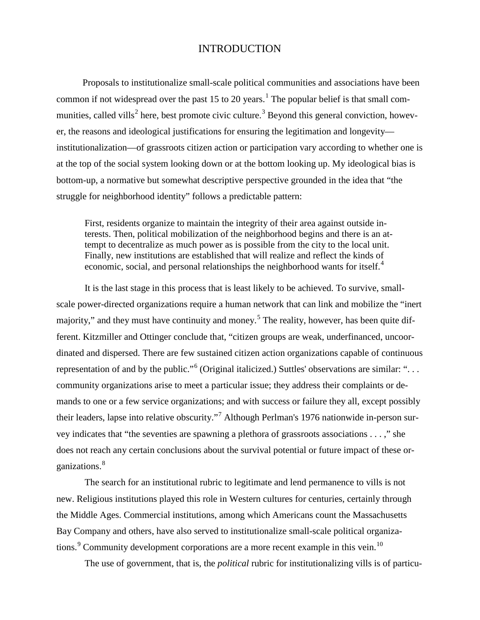## INTRODUCTION

Proposals to institutionalize small-scale political communities and associations have been common if not widespread over the past [1](#page-47-0)5 to 20 years.<sup>1</sup> The popular belief is that small com-munities, called vills<sup>[2](#page-47-1)</sup> here, best promote civic culture.<sup>[3](#page-47-2)</sup> Beyond this general conviction, however, the reasons and ideological justifications for ensuring the legitimation and longevity institutionalization—of grassroots citizen action or participation vary according to whether one is at the top of the social system looking down or at the bottom looking up. My ideological bias is bottom-up, a normative but somewhat descriptive perspective grounded in the idea that "the struggle for neighborhood identity" follows a predictable pattern:

First, residents organize to maintain the integrity of their area against outside interests. Then, political mobilization of the neighborhood begins and there is an attempt to decentralize as much power as is possible from the city to the local unit. Finally, new institutions are established that will realize and reflect the kinds of economic, social, and personal relationships the neighborhood wants for itself.<sup>[4](#page-47-3)</sup>

It is the last stage in this process that is least likely to be achieved. To survive, smallscale power-directed organizations require a human network that can link and mobilize the "inert majority," and they must have continuity and money.<sup>[5](#page-47-4)</sup> The reality, however, has been quite different. Kitzmiller and Ottinger conclude that, "citizen groups are weak, underfinanced, uncoordinated and dispersed. There are few sustained citizen action organizations capable of continuous representation of and by the public."<sup>[6](#page-47-5)</sup> (Original italicized.) Suttles' observations are similar: "... community organizations arise to meet a particular issue; they address their complaints or demands to one or a few service organizations; and with success or failure they all, except possibly their leaders, lapse into relative obscurity."[7](#page-47-6) Although Perlman's 1976 nationwide in-person survey indicates that "the seventies are spawning a plethora of grassroots associations . . . ," she does not reach any certain conclusions about the survival potential or future impact of these or-ganizations.<sup>[8](#page-47-7)</sup>

The search for an institutional rubric to legitimate and lend permanence to vills is not new. Religious institutions played this role in Western cultures for centuries, certainly through the Middle Ages. Commercial institutions, among which Americans count the Massachusetts Bay Company and others, have also served to institutionalize small-scale political organiza-tions.<sup>[9](#page-47-8)</sup> Community development corporations are a more recent example in this vein.<sup>[10](#page-47-9)</sup>

The use of government, that is, the *political* rubric for institutionalizing vills is of particu-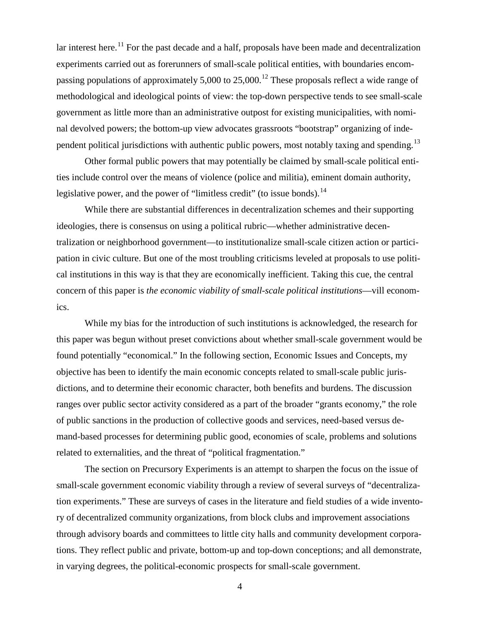lar interest here.<sup>[11](#page-48-0)</sup> For the past decade and a half, proposals have been made and decentralization experiments carried out as forerunners of small-scale political entities, with boundaries encom-passing populations of approximately 5,000 to 25,000.<sup>[12](#page-48-1)</sup> These proposals reflect a wide range of methodological and ideological points of view: the top-down perspective tends to see small-scale government as little more than an administrative outpost for existing municipalities, with nominal devolved powers; the bottom-up view advocates grassroots "bootstrap" organizing of inde-pendent political jurisdictions with authentic public powers, most notably taxing and spending.<sup>[13](#page-48-2)</sup>

Other formal public powers that may potentially be claimed by small-scale political entities include control over the means of violence (police and militia), eminent domain authority, legislative power, and the power of "limitless credit" (to issue bonds).<sup>[14](#page-48-3)</sup>

While there are substantial differences in decentralization schemes and their supporting ideologies, there is consensus on using a political rubric—whether administrative decentralization or neighborhood government—to institutionalize small-scale citizen action or participation in civic culture. But one of the most troubling criticisms leveled at proposals to use political institutions in this way is that they are economically inefficient. Taking this cue, the central concern of this paper is *the economic viability of small-scale political institutions*—vill economics.

While my bias for the introduction of such institutions is acknowledged, the research for this paper was begun without preset convictions about whether small-scale government would be found potentially "economical." In the following section, Economic Issues and Concepts, my objective has been to identify the main economic concepts related to small-scale public jurisdictions, and to determine their economic character, both benefits and burdens. The discussion ranges over public sector activity considered as a part of the broader "grants economy," the role of public sanctions in the production of collective goods and services, need-based versus demand-based processes for determining public good, economies of scale, problems and solutions related to externalities, and the threat of "political fragmentation."

The section on Precursory Experiments is an attempt to sharpen the focus on the issue of small-scale government economic viability through a review of several surveys of "decentralization experiments." These are surveys of cases in the literature and field studies of a wide inventory of decentralized community organizations, from block clubs and improvement associations through advisory boards and committees to little city halls and community development corporations. They reflect public and private, bottom-up and top-down conceptions; and all demonstrate, in varying degrees, the political-economic prospects for small-scale government.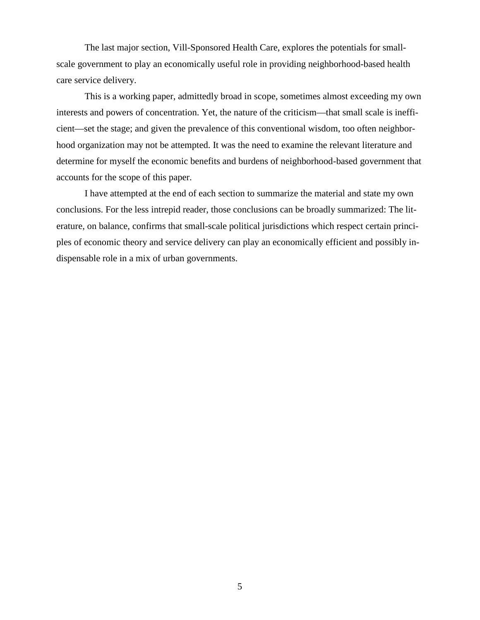The last major section, Vill-Sponsored Health Care, explores the potentials for smallscale government to play an economically useful role in providing neighborhood-based health care service delivery.

This is a working paper, admittedly broad in scope, sometimes almost exceeding my own interests and powers of concentration. Yet, the nature of the criticism—that small scale is inefficient—set the stage; and given the prevalence of this conventional wisdom, too often neighborhood organization may not be attempted. It was the need to examine the relevant literature and determine for myself the economic benefits and burdens of neighborhood-based government that accounts for the scope of this paper.

I have attempted at the end of each section to summarize the material and state my own conclusions. For the less intrepid reader, those conclusions can be broadly summarized: The literature, on balance, confirms that small-scale political jurisdictions which respect certain principles of economic theory and service delivery can play an economically efficient and possibly indispensable role in a mix of urban governments.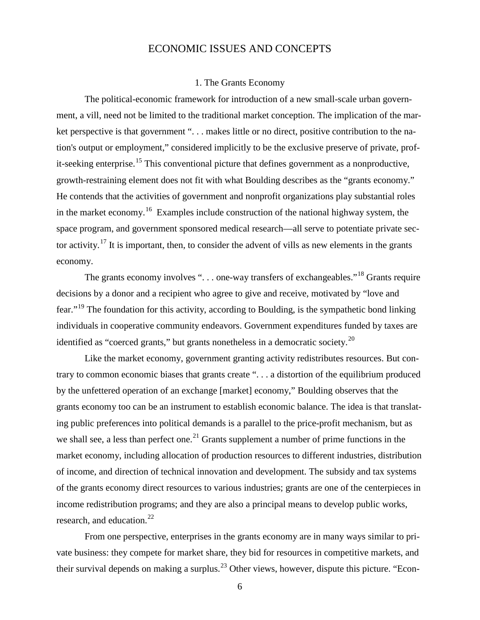## ECONOMIC ISSUES AND CONCEPTS

#### 1. The Grants Economy

The political-economic framework for introduction of a new small-scale urban government, a vill, need not be limited to the traditional market conception. The implication of the market perspective is that government "... makes little or no direct, positive contribution to the nation's output or employment," considered implicitly to be the exclusive preserve of private, prof-it-seeking enterprise.<sup>[15](#page-49-0)</sup> This conventional picture that defines government as a nonproductive, growth-restraining element does not fit with what Boulding describes as the "grants economy." He contends that the activities of government and nonprofit organizations play substantial roles in the market economy.<sup>16</sup> Examples include construction of the national highway system, the space program, and government sponsored medical research—all serve to potentiate private sec-tor activity.<sup>[17](#page-49-2)</sup> It is important, then, to consider the advent of vills as new elements in the grants economy.

The grants economy involves "... one-way transfers of exchangeables."<sup>[18](#page-49-3)</sup> Grants require decisions by a donor and a recipient who agree to give and receive, motivated by "love and fear."[19](#page-49-4) The foundation for this activity, according to Boulding, is the sympathetic bond linking individuals in cooperative community endeavors. Government expenditures funded by taxes are identified as "coerced grants," but grants nonetheless in a democratic society.<sup>[20](#page-49-5)</sup>

Like the market economy, government granting activity redistributes resources. But contrary to common economic biases that grants create ". . . a distortion of the equilibrium produced by the unfettered operation of an exchange [market] economy," Boulding observes that the grants economy too can be an instrument to establish economic balance. The idea is that translating public preferences into political demands is a parallel to the price-profit mechanism, but as we shall see, a less than perfect one.<sup>[21](#page-49-6)</sup> Grants supplement a number of prime functions in the market economy, including allocation of production resources to different industries, distribution of income, and direction of technical innovation and development. The subsidy and tax systems of the grants economy direct resources to various industries; grants are one of the centerpieces in income redistribution programs; and they are also a principal means to develop public works, research, and education.<sup>[22](#page-49-7)</sup>

From one perspective, enterprises in the grants economy are in many ways similar to private business: they compete for market share, they bid for resources in competitive markets, and their survival depends on making a surplus.<sup>[23](#page-49-8)</sup> Other views, however, dispute this picture. "Econ-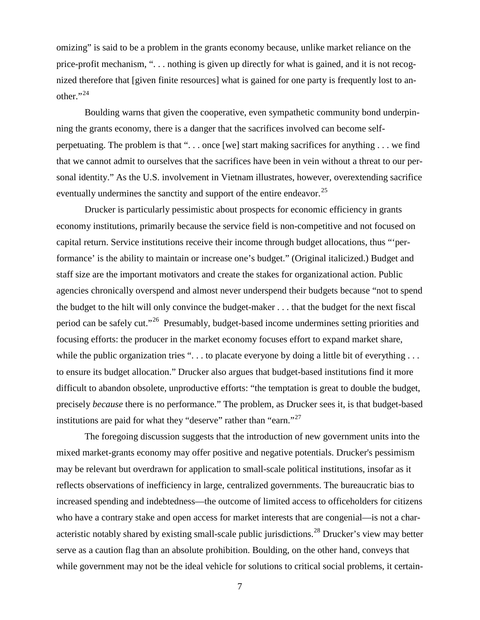omizing" is said to be a problem in the grants economy because, unlike market reliance on the price-profit mechanism, ". . . nothing is given up directly for what is gained, and it is not recognized therefore that [given finite resources] what is gained for one party is frequently lost to another." $^{24}$  $^{24}$  $^{24}$ 

Boulding warns that given the cooperative, even sympathetic community bond underpinning the grants economy, there is a danger that the sacrifices involved can become selfperpetuating. The problem is that ". . . once [we] start making sacrifices for anything . . . we find that we cannot admit to ourselves that the sacrifices have been in vein without a threat to our personal identity." As the U.S. involvement in Vietnam illustrates, however, overextending sacrifice eventually undermines the sanctity and support of the entire endeavor.<sup>[25](#page-50-1)</sup>

Drucker is particularly pessimistic about prospects for economic efficiency in grants economy institutions, primarily because the service field is non-competitive and not focused on capital return. Service institutions receive their income through budget allocations, thus "'performance' is the ability to maintain or increase one's budget." (Original italicized.) Budget and staff size are the important motivators and create the stakes for organizational action. Public agencies chronically overspend and almost never underspend their budgets because "not to spend the budget to the hilt will only convince the budget-maker . . . that the budget for the next fiscal period can be safely cut."[26](#page-50-2) Presumably, budget-based income undermines setting priorities and focusing efforts: the producer in the market economy focuses effort to expand market share, while the public organization tries "... to placate everyone by doing a little bit of everything ... to ensure its budget allocation." Drucker also argues that budget-based institutions find it more difficult to abandon obsolete, unproductive efforts: "the temptation is great to double the budget, precisely *because* there is no performance." The problem, as Drucker sees it, is that budget-based institutions are paid for what they "deserve" rather than "earn."<sup>[27](#page-50-3)</sup>

The foregoing discussion suggests that the introduction of new government units into the mixed market-grants economy may offer positive and negative potentials. Drucker's pessimism may be relevant but overdrawn for application to small-scale political institutions, insofar as it reflects observations of inefficiency in large, centralized governments. The bureaucratic bias to increased spending and indebtedness—the outcome of limited access to officeholders for citizens who have a contrary stake and open access for market interests that are congenial—is not a char-acteristic notably shared by existing small-scale public jurisdictions.<sup>[28](#page-50-4)</sup> Drucker's view may better serve as a caution flag than an absolute prohibition. Boulding, on the other hand, conveys that while government may not be the ideal vehicle for solutions to critical social problems, it certain-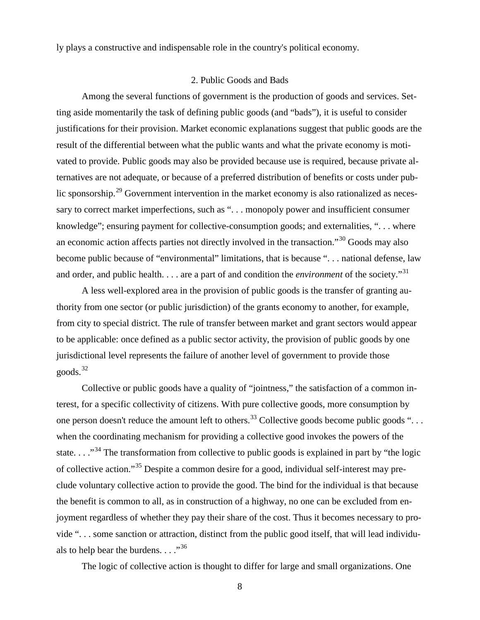ly plays a constructive and indispensable role in the country's political economy.

#### 2. Public Goods and Bads

Among the several functions of government is the production of goods and services. Setting aside momentarily the task of defining public goods (and "bads"), it is useful to consider justifications for their provision. Market economic explanations suggest that public goods are the result of the differential between what the public wants and what the private economy is motivated to provide. Public goods may also be provided because use is required, because private alternatives are not adequate, or because of a preferred distribution of benefits or costs under pub-lic sponsorship.<sup>[29](#page-51-0)</sup> Government intervention in the market economy is also rationalized as necessary to correct market imperfections, such as "... monopoly power and insufficient consumer knowledge"; ensuring payment for collective-consumption goods; and externalities, ". . . where an economic action affects parties not directly involved in the transaction."[30](#page-51-1) Goods may also become public because of "environmental" limitations, that is because ". . . national defense, law and order, and public health. . . . are a part of and condition the *environment* of the society."<sup>[31](#page-51-2)</sup>

A less well-explored area in the provision of public goods is the transfer of granting authority from one sector (or public jurisdiction) of the grants economy to another, for example, from city to special district. The rule of transfer between market and grant sectors would appear to be applicable: once defined as a public sector activity, the provision of public goods by one jurisdictional level represents the failure of another level of government to provide those goods.[32](#page-51-3)

Collective or public goods have a quality of "jointness," the satisfaction of a common interest, for a specific collectivity of citizens. With pure collective goods, more consumption by one person doesn't reduce the amount left to others.<sup>[33](#page-51-4)</sup> Collective goods become public goods "... when the coordinating mechanism for providing a collective good invokes the powers of the state. . . .<sup>[34](#page-51-5)</sup> The transformation from collective to public goods is explained in part by "the logic of collective action."[35](#page-51-6) Despite a common desire for a good, individual self-interest may preclude voluntary collective action to provide the good. The bind for the individual is that because the benefit is common to all, as in construction of a highway, no one can be excluded from enjoyment regardless of whether they pay their share of the cost. Thus it becomes necessary to provide ". . . some sanction or attraction, distinct from the public good itself, that will lead individuals to help bear the burdens.  $\ldots$ <sup>[36](#page-51-7)</sup>

The logic of collective action is thought to differ for large and small organizations. One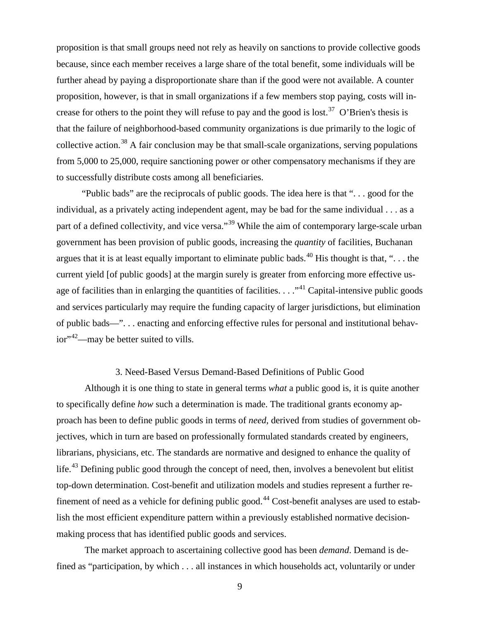proposition is that small groups need not rely as heavily on sanctions to provide collective goods because, since each member receives a large share of the total benefit, some individuals will be further ahead by paying a disproportionate share than if the good were not available. A counter proposition, however, is that in small organizations if a few members stop paying, costs will in-crease for others to the point they will refuse to pay and the good is lost.<sup>[37](#page-52-0)</sup> O'Brien's thesis is that the failure of neighborhood-based community organizations is due primarily to the logic of collective action.<sup>[38](#page-52-1)</sup> A fair conclusion may be that small-scale organizations, serving populations from 5,000 to 25,000, require sanctioning power or other compensatory mechanisms if they are to successfully distribute costs among all beneficiaries.

"Public bads" are the reciprocals of public goods. The idea here is that ". . . good for the individual, as a privately acting independent agent, may be bad for the same individual . . . as a part of a defined collectivity, and vice versa."<sup>[39](#page-52-2)</sup> While the aim of contemporary large-scale urban government has been provision of public goods, increasing the *quantity* of facilities, Buchanan argues that it is at least equally important to eliminate public bads.<sup>[40](#page-52-3)</sup> His thought is that, "... the current yield [of public goods] at the margin surely is greater from enforcing more effective usage of facilities than in enlarging the quantities of facilities.  $\dots$ <sup>[41](#page-52-4)</sup> Capital-intensive public goods and services particularly may require the funding capacity of larger jurisdictions, but elimination of public bads—". . . enacting and enforcing effective rules for personal and institutional behav-ior"<sup>[42](#page-52-5)</sup>—may be better suited to vills.

#### 3. Need-Based Versus Demand-Based Definitions of Public Good

Although it is one thing to state in general terms *what* a public good is, it is quite another to specifically define *how* such a determination is made. The traditional grants economy approach has been to define public goods in terms of *need*, derived from studies of government objectives, which in turn are based on professionally formulated standards created by engineers, librarians, physicians, etc. The standards are normative and designed to enhance the quality of life.<sup>[43](#page-52-6)</sup> Defining public good through the concept of need, then, involves a benevolent but elitist top-down determination. Cost-benefit and utilization models and studies represent a further re-finement of need as a vehicle for defining public good.<sup>[44](#page-52-7)</sup> Cost-benefit analyses are used to establish the most efficient expenditure pattern within a previously established normative decisionmaking process that has identified public goods and services.

The market approach to ascertaining collective good has been *demand*. Demand is defined as "participation, by which . . . all instances in which households act, voluntarily or under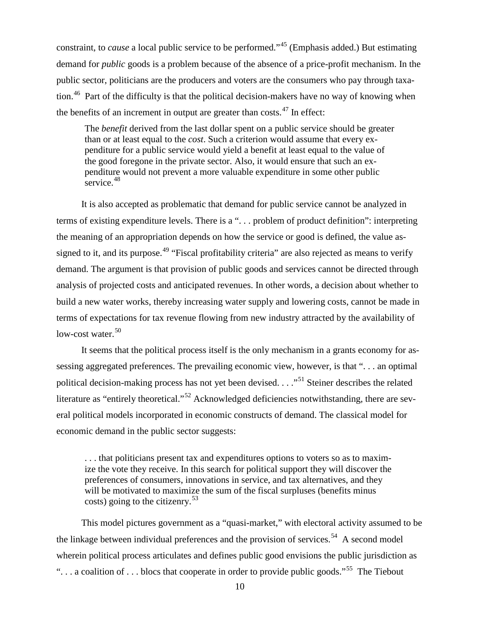constraint, to *cause* a local public service to be performed."[45](#page-53-0) (Emphasis added.) But estimating demand for *public* goods is a problem because of the absence of a price-profit mechanism. In the public sector, politicians are the producers and voters are the consumers who pay through taxa-tion.<sup>[46](#page-53-1)</sup> Part of the difficulty is that the political decision-makers have no way of knowing when the benefits of an increment in output are greater than costs. $47$  In effect:

The *benefit* derived from the last dollar spent on a public service should be greater than or at least equal to the *cost*. Such a criterion would assume that every expenditure for a public service would yield a benefit at least equal to the value of the good foregone in the private sector. Also, it would ensure that such an expenditure would not prevent a more valuable expenditure in some other public service.<sup>[48](#page-53-3)</sup>

It is also accepted as problematic that demand for public service cannot be analyzed in terms of existing expenditure levels. There is a ". . . problem of product definition": interpreting the meaning of an appropriation depends on how the service or good is defined, the value as-signed to it, and its purpose.<sup>[49](#page-53-4)</sup> "Fiscal profitability criteria" are also rejected as means to verify demand. The argument is that provision of public goods and services cannot be directed through analysis of projected costs and anticipated revenues. In other words, a decision about whether to build a new water works, thereby increasing water supply and lowering costs, cannot be made in terms of expectations for tax revenue flowing from new industry attracted by the availability of low-cost water.  $50$ 

It seems that the political process itself is the only mechanism in a grants economy for assessing aggregated preferences. The prevailing economic view, however, is that ". . . an optimal political decision-making process has not yet been devised. . . . "<sup>[51](#page-53-6)</sup> Steiner describes the related literature as "entirely theoretical."[52](#page-53-7) Acknowledged deficiencies notwithstanding, there are several political models incorporated in economic constructs of demand. The classical model for economic demand in the public sector suggests:

. . . that politicians present tax and expenditures options to voters so as to maximize the vote they receive. In this search for political support they will discover the preferences of consumers, innovations in service, and tax alternatives, and they will be motivated to maximize the sum of the fiscal surpluses (benefits minus costs) going to the citizenry.<sup>[53](#page-53-8)</sup>

This model pictures government as a "quasi-market," with electoral activity assumed to be the linkage between individual preferences and the provision of services.<sup>54</sup> A second model wherein political process articulates and defines public good envisions the public jurisdiction as "... a coalition of ... blocs that cooperate in order to provide public goods."<sup>[55](#page-53-10)</sup> The Tiebout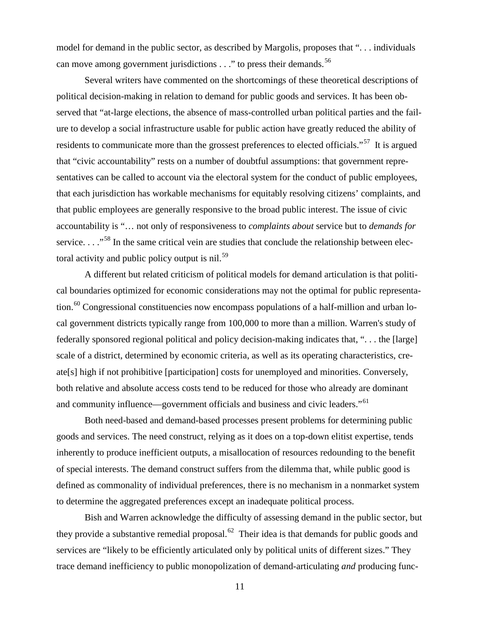model for demand in the public sector, as described by Margolis, proposes that ". . . individuals can move among government jurisdictions  $\ldots$ " to press their demands.<sup>[56](#page-54-0)</sup>

Several writers have commented on the shortcomings of these theoretical descriptions of political decision-making in relation to demand for public goods and services. It has been observed that "at-large elections, the absence of mass-controlled urban political parties and the failure to develop a social infrastructure usable for public action have greatly reduced the ability of residents to communicate more than the grossest preferences to elected officials."<sup>[57](#page-54-1)</sup> It is argued that "civic accountability" rests on a number of doubtful assumptions: that government representatives can be called to account via the electoral system for the conduct of public employees, that each jurisdiction has workable mechanisms for equitably resolving citizens' complaints, and that public employees are generally responsive to the broad public interest. The issue of civic accountability is "… not only of responsiveness to *complaints about* service but to *demands for*  service. . . ."<sup>[58](#page-54-2)</sup> In the same critical vein are studies that conclude the relationship between elec-toral activity and public policy output is nil.<sup>[59](#page-54-3)</sup>

A different but related criticism of political models for demand articulation is that political boundaries optimized for economic considerations may not the optimal for public representa-tion.<sup>[60](#page-54-4)</sup> Congressional constituencies now encompass populations of a half-million and urban local government districts typically range from 100,000 to more than a million. Warren's study of federally sponsored regional political and policy decision-making indicates that, ". . . the [large] scale of a district, determined by economic criteria, as well as its operating characteristics, create[s] high if not prohibitive [participation] costs for unemployed and minorities. Conversely, both relative and absolute access costs tend to be reduced for those who already are dominant and community influence—government officials and business and civic leaders."<sup>[61](#page-54-5)</sup>

Both need-based and demand-based processes present problems for determining public goods and services. The need construct, relying as it does on a top-down elitist expertise, tends inherently to produce inefficient outputs, a misallocation of resources redounding to the benefit of special interests. The demand construct suffers from the dilemma that, while public good is defined as commonality of individual preferences, there is no mechanism in a nonmarket system to determine the aggregated preferences except an inadequate political process.

Bish and Warren acknowledge the difficulty of assessing demand in the public sector, but they provide a substantive remedial proposal.<sup>62</sup> Their idea is that demands for public goods and services are "likely to be efficiently articulated only by political units of different sizes." They trace demand inefficiency to public monopolization of demand-articulating *and* producing func-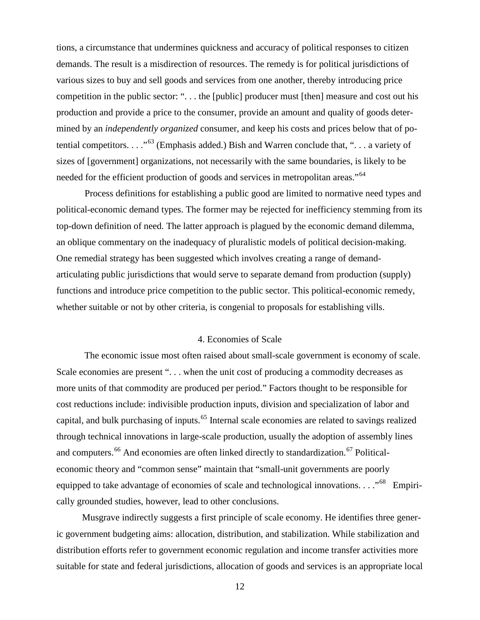tions, a circumstance that undermines quickness and accuracy of political responses to citizen demands. The result is a misdirection of resources. The remedy is for political jurisdictions of various sizes to buy and sell goods and services from one another, thereby introducing price competition in the public sector: ". . . the [public] producer must [then] measure and cost out his production and provide a price to the consumer, provide an amount and quality of goods determined by an *independently organized* consumer, and keep his costs and prices below that of potential competitors. . . ."[63](#page-55-0) (Emphasis added.) Bish and Warren conclude that, ". . . a variety of sizes of [government] organizations, not necessarily with the same boundaries, is likely to be needed for the efficient production of goods and services in metropolitan areas."<sup>[64](#page-55-1)</sup>

Process definitions for establishing a public good are limited to normative need types and political-economic demand types. The former may be rejected for inefficiency stemming from its top-down definition of need. The latter approach is plagued by the economic demand dilemma, an oblique commentary on the inadequacy of pluralistic models of political decision-making. One remedial strategy has been suggested which involves creating a range of demandarticulating public jurisdictions that would serve to separate demand from production (supply) functions and introduce price competition to the public sector. This political-economic remedy, whether suitable or not by other criteria, is congenial to proposals for establishing vills.

#### 4. Economies of Scale

The economic issue most often raised about small-scale government is economy of scale. Scale economies are present "... when the unit cost of producing a commodity decreases as more units of that commodity are produced per period." Factors thought to be responsible for cost reductions include: indivisible production inputs, division and specialization of labor and capital, and bulk purchasing of inputs.<sup>[65](#page-55-2)</sup> Internal scale economies are related to savings realized through technical innovations in large-scale production, usually the adoption of assembly lines and computers.<sup>[66](#page-55-3)</sup> And economies are often linked directly to standardization.<sup>[67](#page-55-4)</sup> Politicaleconomic theory and "common sense" maintain that "small-unit governments are poorly equipped to take advantage of economies of scale and technological innovations. . . . "<sup>[68](#page-55-5)</sup> Empirically grounded studies, however, lead to other conclusions.

Musgrave indirectly suggests a first principle of scale economy. He identifies three generic government budgeting aims: allocation, distribution, and stabilization. While stabilization and distribution efforts refer to government economic regulation and income transfer activities more suitable for state and federal jurisdictions, allocation of goods and services is an appropriate local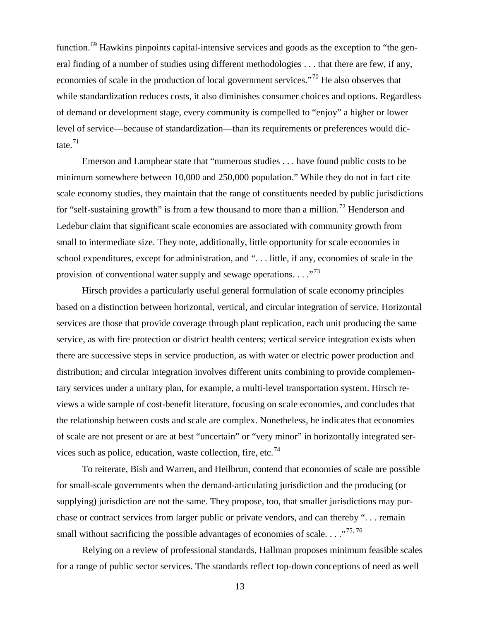function.<sup>[69](#page-56-0)</sup> Hawkins pinpoints capital-intensive services and goods as the exception to "the general finding of a number of studies using different methodologies . . . that there are few, if any, economies of scale in the production of local government services."[70](#page-56-1) He also observes that while standardization reduces costs, it also diminishes consumer choices and options. Regardless of demand or development stage, every community is compelled to "enjoy" a higher or lower level of service—because of standardization—than its requirements or preferences would dictate. $71$ 

Emerson and Lamphear state that "numerous studies . . . have found public costs to be minimum somewhere between 10,000 and 250,000 population." While they do not in fact cite scale economy studies, they maintain that the range of constituents needed by public jurisdictions for "self-sustaining growth" is from a few thousand to more than a million.<sup>[72](#page-56-3)</sup> Henderson and Ledebur claim that significant scale economies are associated with community growth from small to intermediate size. They note, additionally, little opportunity for scale economies in school expenditures, except for administration, and ". . . little, if any, economies of scale in the provision of conventional water supply and sewage operations.  $\ldots$ <sup>[73](#page-56-4)</sup>

Hirsch provides a particularly useful general formulation of scale economy principles based on a distinction between horizontal, vertical, and circular integration of service. Horizontal services are those that provide coverage through plant replication, each unit producing the same service, as with fire protection or district health centers; vertical service integration exists when there are successive steps in service production, as with water or electric power production and distribution; and circular integration involves different units combining to provide complementary services under a unitary plan, for example, a multi-level transportation system. Hirsch reviews a wide sample of cost-benefit literature, focusing on scale economies, and concludes that the relationship between costs and scale are complex. Nonetheless, he indicates that economies of scale are not present or are at best "uncertain" or "very minor" in horizontally integrated ser-vices such as police, education, waste collection, fire, etc.<sup>[74](#page-56-5)</sup>

To reiterate, Bish and Warren, and Heilbrun, contend that economies of scale are possible for small-scale governments when the demand-articulating jurisdiction and the producing (or supplying) jurisdiction are not the same. They propose, too, that smaller jurisdictions may purchase or contract services from larger public or private vendors, and can thereby ". . . remain small without sacrificing the possible advantages of economies of scale.  $\ldots$ <sup>[75,](#page-56-6)[76](#page-56-7)</sup>

Relying on a review of professional standards, Hallman proposes minimum feasible scales for a range of public sector services. The standards reflect top-down conceptions of need as well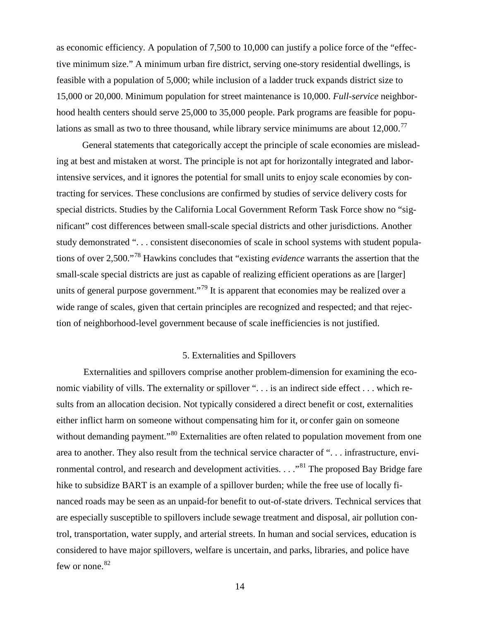as economic efficiency. A population of 7,500 to 10,000 can justify a police force of the "effective minimum size." A minimum urban fire district, serving one-story residential dwellings, is feasible with a population of 5,000; while inclusion of a ladder truck expands district size to 15,000 or 20,000. Minimum population for street maintenance is 10,000. *Full-service* neighborhood health centers should serve 25,000 to 35,000 people. Park programs are feasible for populations as small as two to three thousand, while library service minimums are about  $12,000$ .<sup>[77](#page-57-0)</sup>

General statements that categorically accept the principle of scale economies are misleading at best and mistaken at worst. The principle is not apt for horizontally integrated and laborintensive services, and it ignores the potential for small units to enjoy scale economies by contracting for services. These conclusions are confirmed by studies of service delivery costs for special districts. Studies by the California Local Government Reform Task Force show no "significant" cost differences between small-scale special districts and other jurisdictions. Another study demonstrated ". . . consistent diseconomies of scale in school systems with student populations of over 2,500."[78](#page-57-1) Hawkins concludes that "existing *evidence* warrants the assertion that the small-scale special districts are just as capable of realizing efficient operations as are [larger] units of general purpose government."<sup>[79](#page-57-2)</sup> It is apparent that economies may be realized over a wide range of scales, given that certain principles are recognized and respected; and that rejection of neighborhood-level government because of scale inefficiencies is not justified.

#### 5. Externalities and Spillovers

Externalities and spillovers comprise another problem-dimension for examining the economic viability of vills. The externality or spillover ". . . is an indirect side effect . . . which results from an allocation decision. Not typically considered a direct benefit or cost, externalities either inflict harm on someone without compensating him for it, or confer gain on someone without demanding payment."<sup>[80](#page-57-3)</sup> Externalities are often related to population movement from one area to another. They also result from the technical service character of ". . . infrastructure, envi-ronmental control, and research and development activities. . . . "<sup>[81](#page-57-4)</sup> The proposed Bay Bridge fare hike to subsidize BART is an example of a spillover burden; while the free use of locally financed roads may be seen as an unpaid-for benefit to out-of-state drivers. Technical services that are especially susceptible to spillovers include sewage treatment and disposal, air pollution control, transportation, water supply, and arterial streets. In human and social services, education is considered to have major spillovers, welfare is uncertain, and parks, libraries, and police have few or none. $82$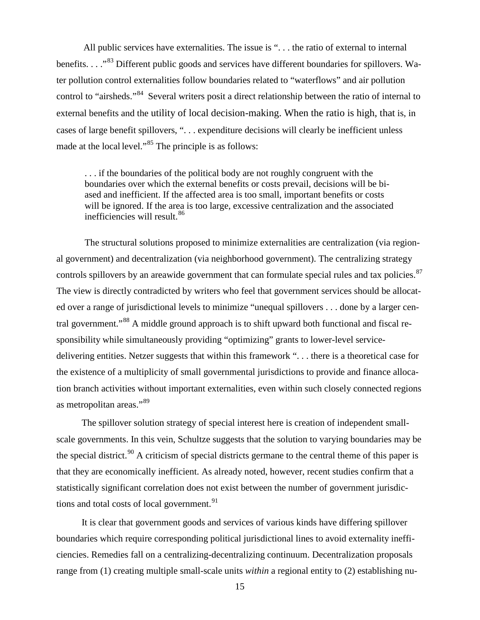All public services have externalities. The issue is "... the ratio of external to internal benefits. . . . .<sup>[83](#page-58-0)</sup> Different public goods and services have different boundaries for spillovers. Water pollution control externalities follow boundaries related to "waterflows" and air pollution control to "airsheds."<sup>[84](#page-58-1)</sup> Several writers posit a direct relationship between the ratio of internal to external benefits and the utility of local decision-making. When the ratio is high, that is, in cases of large benefit spillovers, ". . . expenditure decisions will clearly be inefficient unless made at the local level."<sup>[85](#page-58-2)</sup> The principle is as follows:

. . . if the boundaries of the political body are not roughly congruent with the boundaries over which the external benefits or costs prevail, decisions will be biased and inefficient. If the affected area is too small, important benefits or costs will be ignored. If the area is too large, excessive centralization and the associated inefficiencies will result.<sup>[86](#page-58-3)</sup>

The structural solutions proposed to minimize externalities are centralization (via regional government) and decentralization (via neighborhood government). The centralizing strategy controls spillovers by an areawide government that can formulate special rules and tax policies.<sup>[87](#page-58-4)</sup> The view is directly contradicted by writers who feel that government services should be allocated over a range of jurisdictional levels to minimize "unequal spillovers . . . done by a larger cen-tral government."<sup>[88](#page-58-5)</sup> A middle ground approach is to shift upward both functional and fiscal responsibility while simultaneously providing "optimizing" grants to lower-level servicedelivering entities. Netzer suggests that within this framework ". . . there is a theoretical case for the existence of a multiplicity of small governmental jurisdictions to provide and finance allocation branch activities without important externalities, even within such closely connected regions as metropolitan areas."[89](#page-58-6)

The spillover solution strategy of special interest here is creation of independent smallscale governments. In this vein, Schultze suggests that the solution to varying boundaries may be the special district.<sup>[90](#page-58-7)</sup> A criticism of special districts germane to the central theme of this paper is that they are economically inefficient. As already noted, however, recent studies confirm that a statistically significant correlation does not exist between the number of government jurisdic-tions and total costs of local government.<sup>[91](#page-58-8)</sup>

It is clear that government goods and services of various kinds have differing spillover boundaries which require corresponding political jurisdictional lines to avoid externality inefficiencies. Remedies fall on a centralizing-decentralizing continuum. Decentralization proposals range from (1) creating multiple small-scale units *within* a regional entity to (2) establishing nu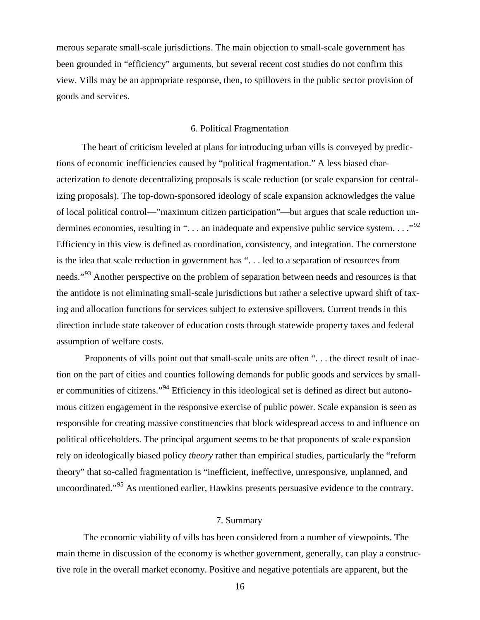merous separate small-scale jurisdictions. The main objection to small-scale government has been grounded in "efficiency" arguments, but several recent cost studies do not confirm this view. Vills may be an appropriate response, then, to spillovers in the public sector provision of goods and services.

#### 6. Political Fragmentation

The heart of criticism leveled at plans for introducing urban vills is conveyed by predictions of economic inefficiencies caused by "political fragmentation." A less biased characterization to denote decentralizing proposals is scale reduction (or scale expansion for centralizing proposals). The top-down-sponsored ideology of scale expansion acknowledges the value of local political control—"maximum citizen participation"—but argues that scale reduction un-dermines economies, resulting in "... an inadequate and expensive public service system..."<sup>[92](#page-59-0)</sup> Efficiency in this view is defined as coordination, consistency, and integration. The cornerstone is the idea that scale reduction in government has ". . . led to a separation of resources from needs."<sup>[93](#page-59-1)</sup> Another perspective on the problem of separation between needs and resources is that the antidote is not eliminating small-scale jurisdictions but rather a selective upward shift of taxing and allocation functions for services subject to extensive spillovers. Current trends in this direction include state takeover of education costs through statewide property taxes and federal assumption of welfare costs.

Proponents of vills point out that small-scale units are often "... the direct result of inaction on the part of cities and counties following demands for public goods and services by smaller communities of citizens."[94](#page-59-2) Efficiency in this ideological set is defined as direct but autonomous citizen engagement in the responsive exercise of public power. Scale expansion is seen as responsible for creating massive constituencies that block widespread access to and influence on political officeholders. The principal argument seems to be that proponents of scale expansion rely on ideologically biased policy *theory* rather than empirical studies, particularly the "reform theory" that so-called fragmentation is "inefficient, ineffective, unresponsive, unplanned, and uncoordinated."<sup>[95](#page-59-3)</sup> As mentioned earlier, Hawkins presents persuasive evidence to the contrary.

#### 7. Summary

The economic viability of vills has been considered from a number of viewpoints. The main theme in discussion of the economy is whether government, generally, can play a constructive role in the overall market economy. Positive and negative potentials are apparent, but the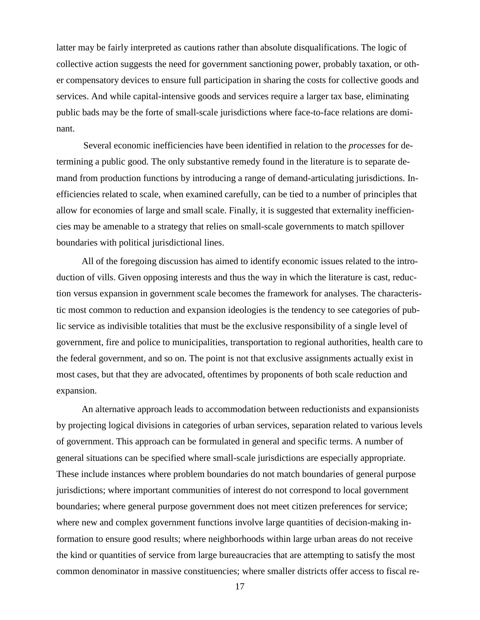latter may be fairly interpreted as cautions rather than absolute disqualifications. The logic of collective action suggests the need for government sanctioning power, probably taxation, or other compensatory devices to ensure full participation in sharing the costs for collective goods and services. And while capital-intensive goods and services require a larger tax base, eliminating public bads may be the forte of small-scale jurisdictions where face-to-face relations are dominant.

Several economic inefficiencies have been identified in relation to the *processes* for determining a public good. The only substantive remedy found in the literature is to separate demand from production functions by introducing a range of demand-articulating jurisdictions. Inefficiencies related to scale, when examined carefully, can be tied to a number of principles that allow for economies of large and small scale. Finally, it is suggested that externality inefficiencies may be amenable to a strategy that relies on small-scale governments to match spillover boundaries with political jurisdictional lines.

All of the foregoing discussion has aimed to identify economic issues related to the introduction of vills. Given opposing interests and thus the way in which the literature is cast, reduction versus expansion in government scale becomes the framework for analyses. The characteristic most common to reduction and expansion ideologies is the tendency to see categories of public service as indivisible totalities that must be the exclusive responsibility of a single level of government, fire and police to municipalities, transportation to regional authorities, health care to the federal government, and so on. The point is not that exclusive assignments actually exist in most cases, but that they are advocated, oftentimes by proponents of both scale reduction and expansion.

An alternative approach leads to accommodation between reductionists and expansionists by projecting logical divisions in categories of urban services, separation related to various levels of government. This approach can be formulated in general and specific terms. A number of general situations can be specified where small-scale jurisdictions are especially appropriate. These include instances where problem boundaries do not match boundaries of general purpose jurisdictions; where important communities of interest do not correspond to local government boundaries; where general purpose government does not meet citizen preferences for service; where new and complex government functions involve large quantities of decision-making information to ensure good results; where neighborhoods within large urban areas do not receive the kind or quantities of service from large bureaucracies that are attempting to satisfy the most common denominator in massive constituencies; where smaller districts offer access to fiscal re-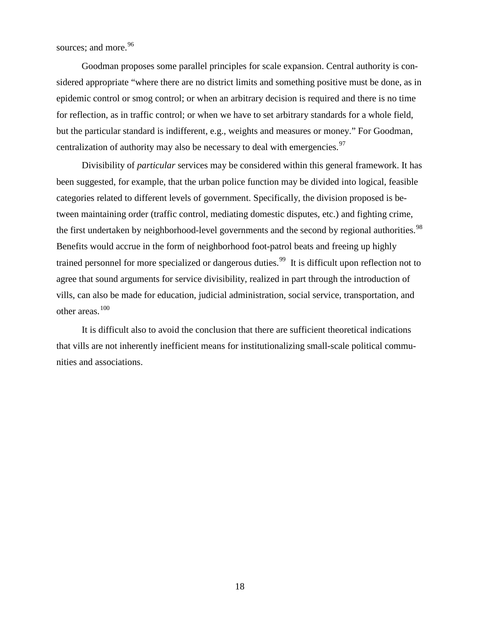sources; and more.<sup>[96](#page-60-0)</sup>

Goodman proposes some parallel principles for scale expansion. Central authority is considered appropriate "where there are no district limits and something positive must be done, as in epidemic control or smog control; or when an arbitrary decision is required and there is no time for reflection, as in traffic control; or when we have to set arbitrary standards for a whole field, but the particular standard is indifferent, e.g., weights and measures or money." For Goodman, centralization of authority may also be necessary to deal with emergencies.<sup>[97](#page-60-1)</sup>

Divisibility of *particular* services may be considered within this general framework. It has been suggested, for example, that the urban police function may be divided into logical, feasible categories related to different levels of government. Specifically, the division proposed is between maintaining order (traffic control, mediating domestic disputes, etc.) and fighting crime, the first undertaken by neighborhood-level governments and the second by regional authorities.<sup>[98](#page-60-2)</sup> Benefits would accrue in the form of neighborhood foot-patrol beats and freeing up highly trained personnel for more specialized or dangerous duties.<sup>99</sup> It is difficult upon reflection not to agree that sound arguments for service divisibility, realized in part through the introduction of vills, can also be made for education, judicial administration, social service, transportation, and other areas.[100](#page-60-4)

It is difficult also to avoid the conclusion that there are sufficient theoretical indications that vills are not inherently inefficient means for institutionalizing small-scale political communities and associations.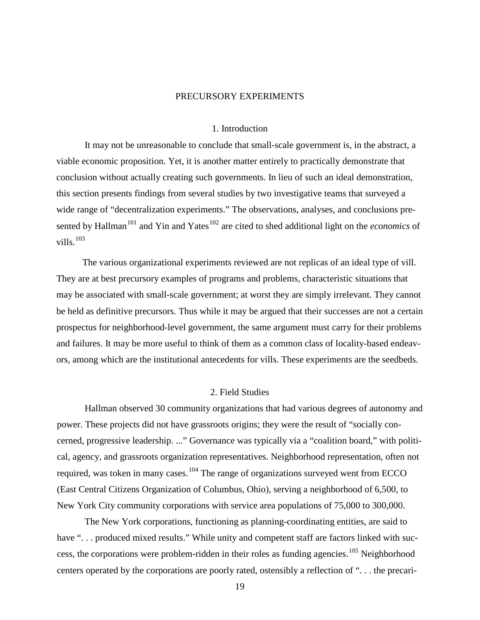#### PRECURSORY EXPERIMENTS

#### 1. Introduction

It may not be unreasonable to conclude that small-scale government is, in the abstract, a viable economic proposition. Yet, it is another matter entirely to practically demonstrate that conclusion without actually creating such governments. In lieu of such an ideal demonstration, this section presents findings from several studies by two investigative teams that surveyed a wide range of "decentralization experiments." The observations, analyses, and conclusions pre-sented by Hallman<sup>[101](#page-60-5)</sup> and Yin and Yates<sup>[102](#page-60-6)</sup> are cited to shed additional light on the *economics* of vills.<sup>[103](#page-60-7)</sup>

The various organizational experiments reviewed are not replicas of an ideal type of vill. They are at best precursory examples of programs and problems, characteristic situations that may be associated with small-scale government; at worst they are simply irrelevant. They cannot be held as definitive precursors. Thus while it may be argued that their successes are not a certain prospectus for neighborhood-level government, the same argument must carry for their problems and failures. It may be more useful to think of them as a common class of locality-based endeavors, among which are the institutional antecedents for vills. These experiments are the seedbeds.

#### 2. Field Studies

Hallman observed 30 community organizations that had various degrees of autonomy and power. These projects did not have grassroots origins; they were the result of "socially concerned, progressive leadership. ..." Governance was typically via a "coalition board," with political, agency, and grassroots organization representatives. Neighborhood representation, often not required, was token in many cases.<sup>[104](#page-60-8)</sup> The range of organizations surveyed went from ECCO (East Central Citizens Organization of Columbus, Ohio), serving a neighborhood of 6,500, to New York City community corporations with service area populations of 75,000 to 300,000.

The New York corporations, functioning as planning-coordinating entities, are said to have "... produced mixed results." While unity and competent staff are factors linked with suc-cess, the corporations were problem-ridden in their roles as funding agencies.<sup>[105](#page-60-9)</sup> Neighborhood centers operated by the corporations are poorly rated, ostensibly a reflection of ". . . the precari-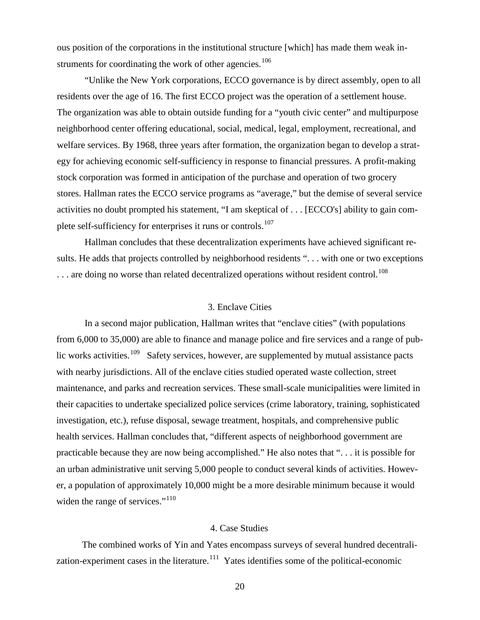ous position of the corporations in the institutional structure [which] has made them weak in-struments for coordinating the work of other agencies.<sup>[106](#page-60-10)</sup>

"Unlike the New York corporations, ECCO governance is by direct assembly, open to all residents over the age of 16. The first ECCO project was the operation of a settlement house. The organization was able to obtain outside funding for a "youth civic center" and multipurpose neighborhood center offering educational, social, medical, legal, employment, recreational, and welfare services. By 1968, three years after formation, the organization began to develop a strategy for achieving economic self-sufficiency in response to financial pressures. A profit-making stock corporation was formed in anticipation of the purchase and operation of two grocery stores. Hallman rates the ECCO service programs as "average," but the demise of several service activities no doubt prompted his statement, "I am skeptical of . . . [ECCO's] ability to gain com-plete self-sufficiency for enterprises it runs or controls.<sup>[107](#page-60-11)</sup>

Hallman concludes that these decentralization experiments have achieved significant results. He adds that projects controlled by neighborhood residents "... with one or two exceptions  $\ldots$  are doing no worse than related decentralized operations without resident control.<sup>[108](#page-60-12)</sup>

#### 3. Enclave Cities

In a second major publication, Hallman writes that "enclave cities" (with populations from 6,000 to 35,000) are able to finance and manage police and fire services and a range of pub-lic works activities.<sup>[109](#page-60-13)</sup> Safety services, however, are supplemented by mutual assistance pacts with nearby jurisdictions. All of the enclave cities studied operated waste collection, street maintenance, and parks and recreation services. These small-scale municipalities were limited in their capacities to undertake specialized police services (crime laboratory, training, sophisticated investigation, etc.), refuse disposal, sewage treatment, hospitals, and comprehensive public health services. Hallman concludes that, "different aspects of neighborhood government are practicable because they are now being accomplished." He also notes that ". . . it is possible for an urban administrative unit serving 5,000 people to conduct several kinds of activities. However, a population of approximately 10,000 might be a more desirable minimum because it would widen the range of services."<sup>[110](#page-60-14)</sup>

#### 4. Case Studies

The combined works of Yin and Yates encompass surveys of several hundred decentrali-zation-experiment cases in the literature.<sup>[111](#page-60-15)</sup> Yates identifies some of the political-economic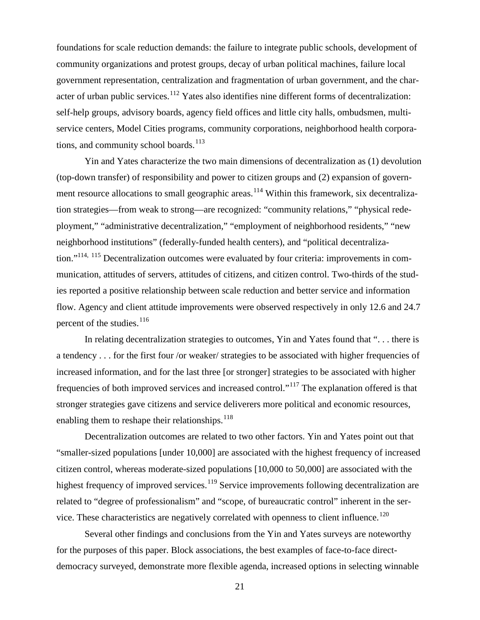foundations for scale reduction demands: the failure to integrate public schools, development of community organizations and protest groups, decay of urban political machines, failure local government representation, centralization and fragmentation of urban government, and the char-acter of urban public services.<sup>[112](#page-60-16)</sup> Yates also identifies nine different forms of decentralization: self-help groups, advisory boards, agency field offices and little city halls, ombudsmen, multiservice centers, Model Cities programs, community corporations, neighborhood health corporations, and community school boards. $113$ 

Yin and Yates characterize the two main dimensions of decentralization as (1) devolution (top-down transfer) of responsibility and power to citizen groups and (2) expansion of govern-ment resource allocations to small geographic areas.<sup>[114](#page-60-18)</sup> Within this framework, six decentralization strategies—from weak to strong—are recognized: "community relations," "physical redeployment," "administrative decentralization," "employment of neighborhood residents," "new neighborhood institutions" (federally-funded health centers), and "political decentraliza-tion."<sup>114, [115](#page-60-19)</sup> Decentralization outcomes were evaluated by four criteria: improvements in communication, attitudes of servers, attitudes of citizens, and citizen control. Two-thirds of the studies reported a positive relationship between scale reduction and better service and information flow. Agency and client attitude improvements were observed respectively in only 12.6 and 24.7 percent of the studies.<sup>[116](#page-60-20)</sup>

In relating decentralization strategies to outcomes, Yin and Yates found that "... there is a tendency . . . for the first four /or weaker/ strategies to be associated with higher frequencies of increased information, and for the last three [or stronger] strategies to be associated with higher frequencies of both improved services and increased control."[117](#page-60-21) The explanation offered is that stronger strategies gave citizens and service deliverers more political and economic resources, enabling them to reshape their relationships. $118$ 

Decentralization outcomes are related to two other factors. Yin and Yates point out that "smaller-sized populations [under 10,000] are associated with the highest frequency of increased citizen control, whereas moderate-sized populations [10,000 to 50,000] are associated with the highest frequency of improved services.<sup>[119](#page-60-23)</sup> Service improvements following decentralization are related to "degree of professionalism" and "scope, of bureaucratic control" inherent in the ser-vice. These characteristics are negatively correlated with openness to client influence.<sup>[120](#page-60-24)</sup>

Several other findings and conclusions from the Yin and Yates surveys are noteworthy for the purposes of this paper. Block associations, the best examples of face-to-face directdemocracy surveyed, demonstrate more flexible agenda, increased options in selecting winnable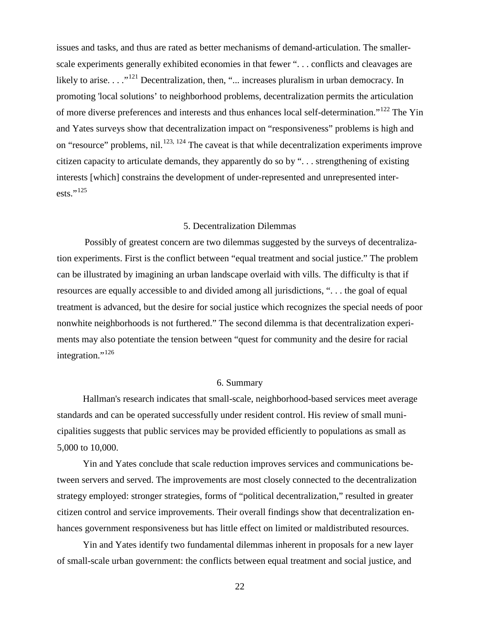issues and tasks, and thus are rated as better mechanisms of demand-articulation. The smallerscale experiments generally exhibited economies in that fewer ". . . conflicts and cleavages are likely to arise.  $\dots$ <sup>[121](#page-60-25)</sup> Decentralization, then, " $\dots$  increases pluralism in urban democracy. In promoting 'local solutions' to neighborhood problems, decentralization permits the articulation of more diverse preferences and interests and thus enhances local self-determination."<sup>[122](#page-60-26)</sup> The Yin and Yates surveys show that decentralization impact on "responsiveness" problems is high and on "resource" problems, nil.<sup>[123](#page-60-27), [124](#page-60-28)</sup> The caveat is that while decentralization experiments improve citizen capacity to articulate demands, they apparently do so by ". . . strengthening of existing interests [which] constrains the development of under-represented and unrepresented inter-ests."<sup>[125](#page-60-29)</sup>

#### 5. Decentralization Dilemmas

Possibly of greatest concern are two dilemmas suggested by the surveys of decentralization experiments. First is the conflict between "equal treatment and social justice." The problem can be illustrated by imagining an urban landscape overlaid with vills. The difficulty is that if resources are equally accessible to and divided among all jurisdictions, ". . . the goal of equal treatment is advanced, but the desire for social justice which recognizes the special needs of poor nonwhite neighborhoods is not furthered." The second dilemma is that decentralization experiments may also potentiate the tension between "quest for community and the desire for racial integration."<sup>[126](#page-60-30)</sup>

#### 6. Summary

Hallman's research indicates that small-scale, neighborhood-based services meet average standards and can be operated successfully under resident control. His review of small municipalities suggests that public services may be provided efficiently to populations as small as 5,000 to 10,000.

Yin and Yates conclude that scale reduction improves services and communications between servers and served. The improvements are most closely connected to the decentralization strategy employed: stronger strategies, forms of "political decentralization," resulted in greater citizen control and service improvements. Their overall findings show that decentralization enhances government responsiveness but has little effect on limited or maldistributed resources.

Yin and Yates identify two fundamental dilemmas inherent in proposals for a new layer of small-scale urban government: the conflicts between equal treatment and social justice, and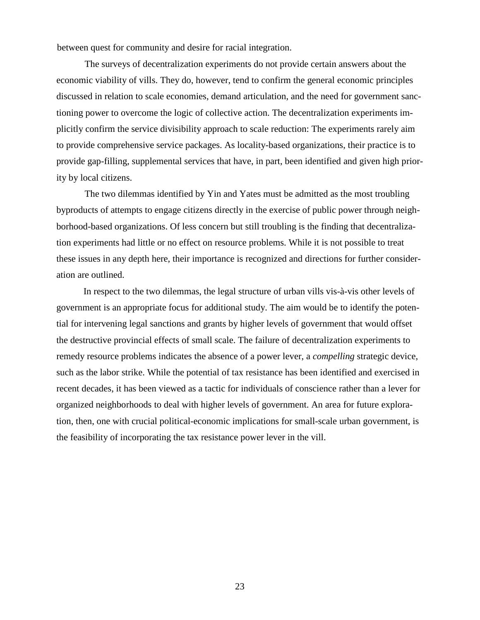between quest for community and desire for racial integration.

The surveys of decentralization experiments do not provide certain answers about the economic viability of vills. They do, however, tend to confirm the general economic principles discussed in relation to scale economies, demand articulation, and the need for government sanctioning power to overcome the logic of collective action. The decentralization experiments implicitly confirm the service divisibility approach to scale reduction: The experiments rarely aim to provide comprehensive service packages. As locality-based organizations, their practice is to provide gap-filling, supplemental services that have, in part, been identified and given high priority by local citizens.

The two dilemmas identified by Yin and Yates must be admitted as the most troubling byproducts of attempts to engage citizens directly in the exercise of public power through neighborhood-based organizations. Of less concern but still troubling is the finding that decentralization experiments had little or no effect on resource problems. While it is not possible to treat these issues in any depth here, their importance is recognized and directions for further consideration are outlined.

In respect to the two dilemmas, the legal structure of urban vills vis-à-vis other levels of government is an appropriate focus for additional study. The aim would be to identify the potential for intervening legal sanctions and grants by higher levels of government that would offset the destructive provincial effects of small scale. The failure of decentralization experiments to remedy resource problems indicates the absence of a power lever, a *compelling* strategic device, such as the labor strike. While the potential of tax resistance has been identified and exercised in recent decades, it has been viewed as a tactic for individuals of conscience rather than a lever for organized neighborhoods to deal with higher levels of government. An area for future exploration, then, one with crucial political-economic implications for small-scale urban government, is the feasibility of incorporating the tax resistance power lever in the vill.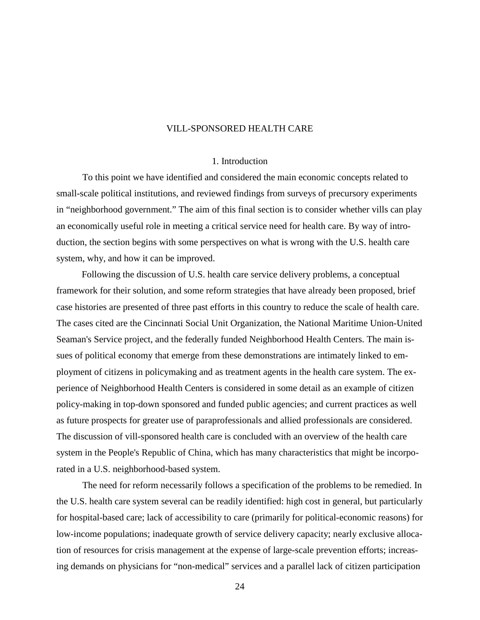#### VILL-SPONSORED HEALTH CARE

#### 1. Introduction

To this point we have identified and considered the main economic concepts related to small-scale political institutions, and reviewed findings from surveys of precursory experiments in "neighborhood government." The aim of this final section is to consider whether vills can play an economically useful role in meeting a critical service need for health care. By way of introduction, the section begins with some perspectives on what is wrong with the U.S. health care system, why, and how it can be improved.

Following the discussion of U.S. health care service delivery problems, a conceptual framework for their solution, and some reform strategies that have already been proposed, brief case histories are presented of three past efforts in this country to reduce the scale of health care. The cases cited are the Cincinnati Social Unit Organization, the National Maritime Union-United Seaman's Service project, and the federally funded Neighborhood Health Centers. The main issues of political economy that emerge from these demonstrations are intimately linked to employment of citizens in policymaking and as treatment agents in the health care system. The experience of Neighborhood Health Centers is considered in some detail as an example of citizen policy-making in top-down sponsored and funded public agencies; and current practices as well as future prospects for greater use of paraprofessionals and allied professionals are considered. The discussion of vill-sponsored health care is concluded with an overview of the health care system in the People's Republic of China, which has many characteristics that might be incorporated in a U.S. neighborhood-based system.

The need for reform necessarily follows a specification of the problems to be remedied. In the U.S. health care system several can be readily identified: high cost in general, but particularly for hospital-based care; lack of accessibility to care (primarily for political-economic reasons) for low-income populations; inadequate growth of service delivery capacity; nearly exclusive allocation of resources for crisis management at the expense of large-scale prevention efforts; increasing demands on physicians for "non-medical" services and a parallel lack of citizen participation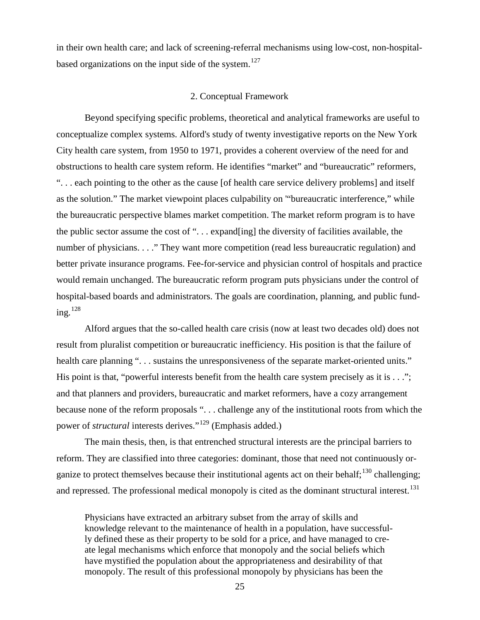in their own health care; and lack of screening-referral mechanisms using low-cost, non-hospital-based organizations on the input side of the system.<sup>[127](#page-60-31)</sup>

#### 2. Conceptual Framework

Beyond specifying specific problems, theoretical and analytical frameworks are useful to conceptualize complex systems. Alford's study of twenty investigative reports on the New York City health care system, from 1950 to 1971, provides a coherent overview of the need for and obstructions to health care system reform. He identifies "market" and "bureaucratic" reformers, ". . . each pointing to the other as the cause [of health care service delivery problems] and itself as the solution." The market viewpoint places culpability on '"bureaucratic interference," while the bureaucratic perspective blames market competition. The market reform program is to have the public sector assume the cost of ". . . expand[ing] the diversity of facilities available, the number of physicians. . . ." They want more competition (read less bureaucratic regulation) and better private insurance programs. Fee-for-service and physician control of hospitals and practice would remain unchanged. The bureaucratic reform program puts physicians under the control of hospital-based boards and administrators. The goals are coordination, planning, and public funding. $128$ 

Alford argues that the so-called health care crisis (now at least two decades old) does not result from pluralist competition or bureaucratic inefficiency. His position is that the failure of health care planning ". . . sustains the unresponsiveness of the separate market-oriented units." His point is that, "powerful interests benefit from the health care system precisely as it is . . ."; and that planners and providers, bureaucratic and market reformers, have a cozy arrangement because none of the reform proposals ". . . challenge any of the institutional roots from which the power of *structural* interests derives."[129](#page-60-33) (Emphasis added.)

The main thesis, then, is that entrenched structural interests are the principal barriers to reform. They are classified into three categories: dominant, those that need not continuously organize to protect themselves because their institutional agents act on their behalf;  $^{130}$  $^{130}$  $^{130}$  challenging; and repressed. The professional medical monopoly is cited as the dominant structural interest.<sup>[131](#page-60-35)</sup>

Physicians have extracted an arbitrary subset from the array of skills and knowledge relevant to the maintenance of health in a population, have successfully defined these as their property to be sold for a price, and have managed to create legal mechanisms which enforce that monopoly and the social beliefs which have mystified the population about the appropriateness and desirability of that monopoly. The result of this professional monopoly by physicians has been the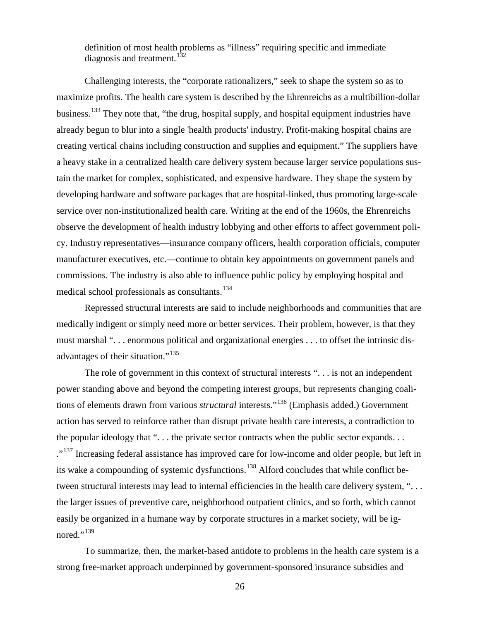definition of most health problems as "illness" requiring specific and immediate diagnosis and treatment.<sup>[132](#page-60-36)</sup>

Challenging interests, the "corporate rationalizers," seek to shape the system so as to maximize profits. The health care system is described by the Ehrenreichs as a multibillion-dollar business.<sup>[133](#page-60-37)</sup> They note that, "the drug, hospital supply, and hospital equipment industries have already begun to blur into a single 'health products' industry. Profit-making hospital chains are creating vertical chains including construction and supplies and equipment." The suppliers have a heavy stake in a centralized health care delivery system because larger service populations sustain the market for complex, sophisticated, and expensive hardware. They shape the system by developing hardware and software packages that are hospital-linked, thus promoting large-scale service over non-institutionalized health care. Writing at the end of the 1960s, the Ehrenreichs observe the development of health industry lobbying and other efforts to affect government policy. Industry representatives—insurance company officers, health corporation officials, computer manufacturer executives, etc.—continue to obtain key appointments on government panels and commissions. The industry is also able to influence public policy by employing hospital and medical school professionals as consultants.<sup>[134](#page-60-38)</sup>

Repressed structural interests are said to include neighborhoods and communities that are medically indigent or simply need more or better services. Their problem, however, is that they must marshal ". . . enormous political and organizational energies . . . to offset the intrinsic dis-advantages of their situation."<sup>[135](#page-60-39)</sup>

The role of government in this context of structural interests "... is not an independent power standing above and beyond the competing interest groups, but represents changing coalitions of elements drawn from various *structural* interests."<sup>[136](#page-60-40)</sup> (Emphasis added.) Government action has served to reinforce rather than disrupt private health care interests, a contradiction to the popular ideology that ". . . the private sector contracts when the public sector expands. . . ."<sup>[137](#page-60-41)</sup> Increasing federal assistance has improved care for low-income and older people, but left in its wake a compounding of systemic dysfunctions.<sup>[138](#page-60-42)</sup> Alford concludes that while conflict between structural interests may lead to internal efficiencies in the health care delivery system, "... the larger issues of preventive care, neighborhood outpatient clinics, and so forth, which cannot easily be organized in a humane way by corporate structures in a market society, will be ig-nored."<sup>[139](#page-60-43)</sup>

To summarize, then, the market-based antidote to problems in the health care system is a strong free-market approach underpinned by government-sponsored insurance subsidies and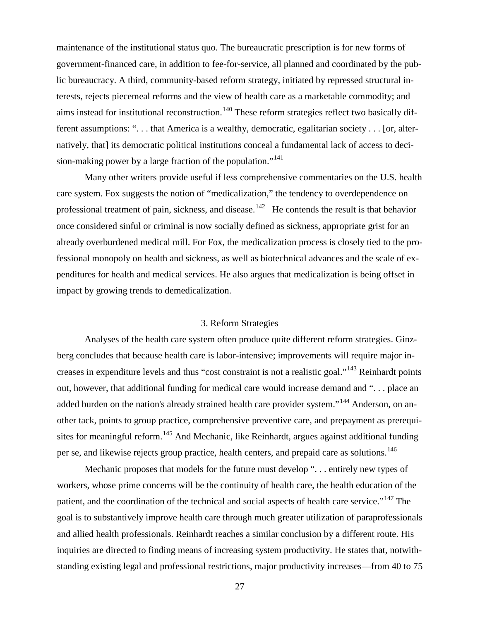maintenance of the institutional status quo. The bureaucratic prescription is for new forms of government-financed care, in addition to fee-for-service, all planned and coordinated by the public bureaucracy. A third, community-based reform strategy, initiated by repressed structural interests, rejects piecemeal reforms and the view of health care as a marketable commodity; and aims instead for institutional reconstruction.<sup>[140](#page-60-44)</sup> These reform strategies reflect two basically different assumptions: ". . . that America is a wealthy, democratic, egalitarian society . . . [or, alternatively, that] its democratic political institutions conceal a fundamental lack of access to deci-sion-making power by a large fraction of the population."<sup>[141](#page-60-45)</sup>

Many other writers provide useful if less comprehensive commentaries on the U.S. health care system. Fox suggests the notion of "medicalization," the tendency to overdependence on professional treatment of pain, sickness, and disease.<sup>[142](#page-60-46)</sup> He contends the result is that behavior once considered sinful or criminal is now socially defined as sickness, appropriate grist for an already overburdened medical mill. For Fox, the medicalization process is closely tied to the professional monopoly on health and sickness, as well as biotechnical advances and the scale of expenditures for health and medical services. He also argues that medicalization is being offset in impact by growing trends to demedicalization.

#### 3. Reform Strategies

Analyses of the health care system often produce quite different reform strategies. Ginzberg concludes that because health care is labor-intensive; improvements will require major increases in expenditure levels and thus "cost constraint is not a realistic goal."[143](#page-60-47) Reinhardt points out, however, that additional funding for medical care would increase demand and ". . . place an added burden on the nation's already strained health care provider system."<sup>[144](#page-60-48)</sup> Anderson, on another tack, points to group practice, comprehensive preventive care, and prepayment as prerequi-sites for meaningful reform.<sup>[145](#page-60-13)</sup> And Mechanic, like Reinhardt, argues against additional funding per se, and likewise rejects group practice, health centers, and prepaid care as solutions.<sup>[146](#page-60-49)</sup>

Mechanic proposes that models for the future must develop "... entirely new types of workers, whose prime concerns will be the continuity of health care, the health education of the patient, and the coordination of the technical and social aspects of health care service."<sup>[147](#page-60-50)</sup> The goal is to substantively improve health care through much greater utilization of paraprofessionals and allied health professionals. Reinhardt reaches a similar conclusion by a different route. His inquiries are directed to finding means of increasing system productivity. He states that, notwithstanding existing legal and professional restrictions, major productivity increases—from 40 to 75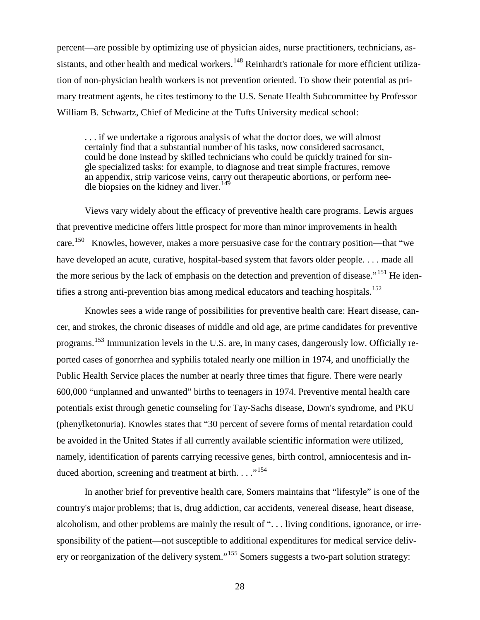percent—are possible by optimizing use of physician aides, nurse practitioners, technicians, as-sistants, and other health and medical workers.<sup>[148](#page-60-51)</sup> Reinhardt's rationale for more efficient utilization of non-physician health workers is not prevention oriented. To show their potential as primary treatment agents, he cites testimony to the U.S. Senate Health Subcommittee by Professor William B. Schwartz, Chief of Medicine at the Tufts University medical school:

. . . if we undertake a rigorous analysis of what the doctor does, we will almost certainly find that a substantial number of his tasks, now considered sacrosanct, could be done instead by skilled technicians who could be quickly trained for single specialized tasks: for example, to diagnose and treat simple fractures, remove an appendix, strip varicose veins, carry out therapeutic abortions, or perform nee-dle biopsies on the kidney and liver.<sup>[149](#page-60-52)</sup>

Views vary widely about the efficacy of preventive health care programs. Lewis argues that preventive medicine offers little prospect for more than minor improvements in health care.<sup>150</sup> Knowles, however, makes a more persuasive case for the contrary position—that "we have developed an acute, curative, hospital-based system that favors older people. . . . made all the more serious by the lack of emphasis on the detection and prevention of disease."<sup>[151](#page-60-54)</sup> He iden-tifies a strong anti-prevention bias among medical educators and teaching hospitals.<sup>[152](#page-60-55)</sup>

Knowles sees a wide range of possibilities for preventive health care: Heart disease, cancer, and strokes, the chronic diseases of middle and old age, are prime candidates for preventive programs.[153](#page-60-56) Immunization levels in the U.S. are, in many cases, dangerously low. Officially reported cases of gonorrhea and syphilis totaled nearly one million in 1974, and unofficially the Public Health Service places the number at nearly three times that figure. There were nearly 600,000 "unplanned and unwanted" births to teenagers in 1974. Preventive mental health care potentials exist through genetic counseling for Tay-Sachs disease, Down's syndrome, and PKU (phenylketonuria). Knowles states that "30 percent of severe forms of mental retardation could be avoided in the United States if all currently available scientific information were utilized, namely, identification of parents carrying recessive genes, birth control, amniocentesis and in-duced abortion, screening and treatment at birth. . . . "<sup>[154](#page-60-57)</sup>

In another brief for preventive health care, Somers maintains that "lifestyle" is one of the country's major problems; that is, drug addiction, car accidents, venereal disease, heart disease, alcoholism, and other problems are mainly the result of ". . . living conditions, ignorance, or irresponsibility of the patient—not susceptible to additional expenditures for medical service deliv-ery or reorganization of the delivery system."<sup>[155](#page-60-58)</sup> Somers suggests a two-part solution strategy: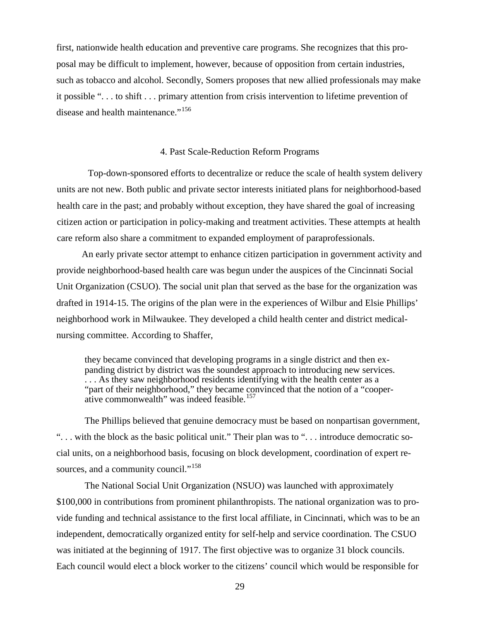first, nationwide health education and preventive care programs. She recognizes that this proposal may be difficult to implement, however, because of opposition from certain industries, such as tobacco and alcohol. Secondly, Somers proposes that new allied professionals may make it possible ". . . to shift . . . primary attention from crisis intervention to lifetime prevention of disease and health maintenance."<sup>[156](#page-60-59)</sup>

#### 4. Past Scale-Reduction Reform Programs

Top-down-sponsored efforts to decentralize or reduce the scale of health system delivery units are not new. Both public and private sector interests initiated plans for neighborhood-based health care in the past; and probably without exception, they have shared the goal of increasing citizen action or participation in policy-making and treatment activities. These attempts at health care reform also share a commitment to expanded employment of paraprofessionals.

An early private sector attempt to enhance citizen participation in government activity and provide neighborhood-based health care was begun under the auspices of the Cincinnati Social Unit Organization (CSUO). The social unit plan that served as the base for the organization was drafted in 1914-15. The origins of the plan were in the experiences of Wilbur and Elsie Phillips' neighborhood work in Milwaukee. They developed a child health center and district medicalnursing committee. According to Shaffer,

they became convinced that developing programs in a single district and then expanding district by district was the soundest approach to introducing new services. ... As they saw neighborhood residents identifying with the health center as a "part of their neighborhood," they became convinced that the notion of a "cooper-ative commonwealth" was indeed feasible.<sup>[157](#page-60-60)</sup>

The Phillips believed that genuine democracy must be based on nonpartisan government, ". . . with the block as the basic political unit." Their plan was to ". . . introduce democratic social units, on a neighborhood basis, focusing on block development, coordination of expert re-sources, and a community council."<sup>[158](#page-60-61)</sup>

The National Social Unit Organization (NSUO) was launched with approximately \$100,000 in contributions from prominent philanthropists. The national organization was to provide funding and technical assistance to the first local affiliate, in Cincinnati, which was to be an independent, democratically organized entity for self-help and service coordination. The CSUO was initiated at the beginning of 1917. The first objective was to organize 31 block councils. Each council would elect a block worker to the citizens' council which would be responsible for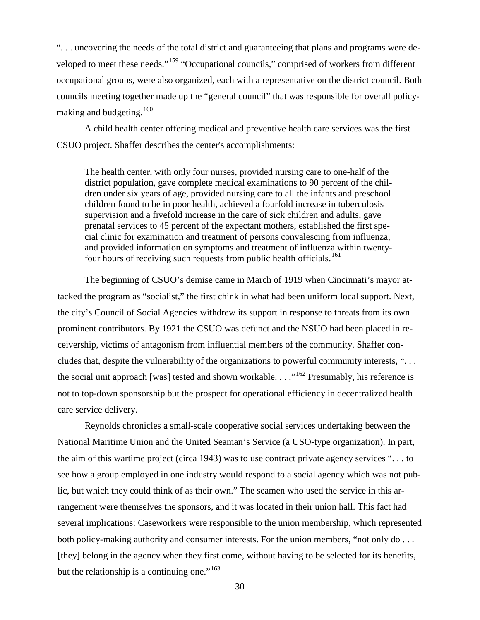". . . uncovering the needs of the total district and guaranteeing that plans and programs were de-veloped to meet these needs."<sup>[159](#page-60-62)</sup> "Occupational councils," comprised of workers from different occupational groups, were also organized, each with a representative on the district council. Both councils meeting together made up the "general council" that was responsible for overall policymaking and budgeting.  $160$ 

A child health center offering medical and preventive health care services was the first CSUO project. Shaffer describes the center's accomplishments:

The health center, with only four nurses, provided nursing care to one-half of the district population, gave complete medical examinations to 90 percent of the children under six years of age, provided nursing care to all the infants and preschool children found to be in poor health, achieved a fourfold increase in tuberculosis supervision and a fivefold increase in the care of sick children and adults, gave prenatal services to 45 percent of the expectant mothers, established the first special clinic for examination and treatment of persons convalescing from influenza, and provided information on symptoms and treatment of influenza within twenty-four hours of receiving such requests from public health officials.<sup>[161](#page-60-64)</sup>

The beginning of CSUO's demise came in March of 1919 when Cincinnati's mayor attacked the program as "socialist," the first chink in what had been uniform local support. Next, the city's Council of Social Agencies withdrew its support in response to threats from its own prominent contributors. By 1921 the CSUO was defunct and the NSUO had been placed in receivership, victims of antagonism from influential members of the community. Shaffer concludes that, despite the vulnerability of the organizations to powerful community interests, ". . . the social unit approach [was] tested and shown workable. . . ."<sup>[162](#page-60-65)</sup> Presumably, his reference is not to top-down sponsorship but the prospect for operational efficiency in decentralized health care service delivery.

Reynolds chronicles a small-scale cooperative social services undertaking between the National Maritime Union and the United Seaman's Service (a USO-type organization). In part, the aim of this wartime project (circa 1943) was to use contract private agency services ". . . to see how a group employed in one industry would respond to a social agency which was not public, but which they could think of as their own." The seamen who used the service in this arrangement were themselves the sponsors, and it was located in their union hall. This fact had several implications: Caseworkers were responsible to the union membership, which represented both policy-making authority and consumer interests. For the union members, "not only do . . . [they] belong in the agency when they first come, without having to be selected for its benefits, but the relationship is a continuing one."<sup>[163](#page-60-13)</sup>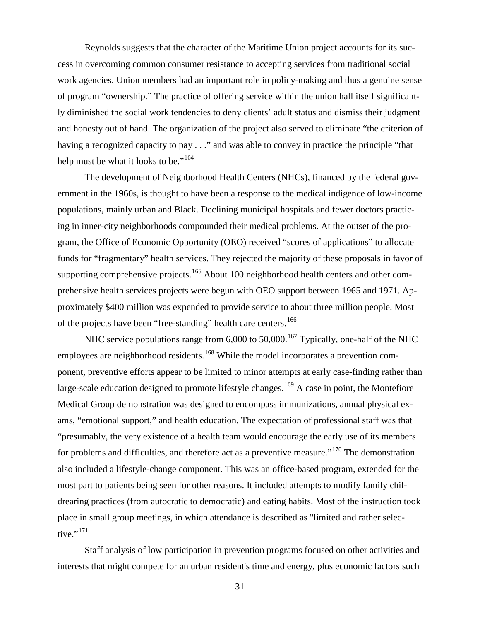Reynolds suggests that the character of the Maritime Union project accounts for its success in overcoming common consumer resistance to accepting services from traditional social work agencies. Union members had an important role in policy-making and thus a genuine sense of program "ownership." The practice of offering service within the union hall itself significantly diminished the social work tendencies to deny clients' adult status and dismiss their judgment and honesty out of hand. The organization of the project also served to eliminate "the criterion of having a recognized capacity to pay . . ." and was able to convey in practice the principle "that help must be what it looks to be."<sup>[164](#page-60-0)</sup>

The development of Neighborhood Health Centers (NHCs), financed by the federal government in the 1960s, is thought to have been a response to the medical indigence of low-income populations, mainly urban and Black. Declining municipal hospitals and fewer doctors practicing in inner-city neighborhoods compounded their medical problems. At the outset of the program, the Office of Economic Opportunity (OEO) received "scores of applications" to allocate funds for "fragmentary" health services. They rejected the majority of these proposals in favor of supporting comprehensive projects.<sup>[165](#page-60-1)</sup> About 100 neighborhood health centers and other comprehensive health services projects were begun with OEO support between 1965 and 1971. Approximately \$400 million was expended to provide service to about three million people. Most of the projects have been "free-standing" health care centers.<sup>[166](#page-60-66)</sup>

NHC service populations range from  $6,000$  to  $50,000$ .<sup>[167](#page-60-67)</sup> Typically, one-half of the NHC employees are neighborhood residents.<sup>[168](#page-60-68)</sup> While the model incorporates a prevention component, preventive efforts appear to be limited to minor attempts at early case-finding rather than large-scale education designed to promote lifestyle changes.<sup>[169](#page-60-69)</sup> A case in point, the Montefiore Medical Group demonstration was designed to encompass immunizations, annual physical exams, "emotional support," and health education. The expectation of professional staff was that "presumably, the very existence of a health team would encourage the early use of its members for problems and difficulties, and therefore act as a preventive measure."<sup>[170](#page-60-70)</sup> The demonstration also included a lifestyle-change component. This was an office-based program, extended for the most part to patients being seen for other reasons. It included attempts to modify family childrearing practices (from autocratic to democratic) and eating habits. Most of the instruction took place in small group meetings, in which attendance is described as "limited and rather selec-tive."<sup>[171](#page-60-71)</sup>

Staff analysis of low participation in prevention programs focused on other activities and interests that might compete for an urban resident's time and energy, plus economic factors such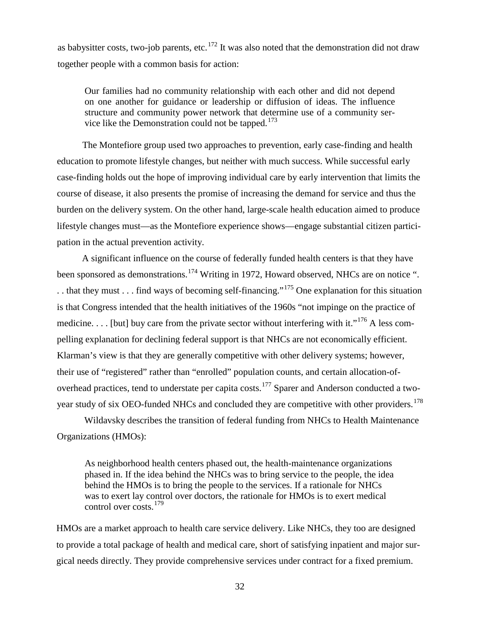as babysitter costs, two-job parents, etc.<sup>[172](#page-60-57)</sup> It was also noted that the demonstration did not draw together people with a common basis for action:

Our families had no community relationship with each other and did not depend on one another for guidance or leadership or diffusion of ideas. The influence structure and community power network that determine use of a community ser-vice like the Demonstration could not be tapped.<sup>[173](#page-60-72)</sup>

The Montefiore group used two approaches to prevention, early case-finding and health education to promote lifestyle changes, but neither with much success. While successful early case-finding holds out the hope of improving individual care by early intervention that limits the course of disease, it also presents the promise of increasing the demand for service and thus the burden on the delivery system. On the other hand, large-scale health education aimed to produce lifestyle changes must—as the Montefiore experience shows—engage substantial citizen participation in the actual prevention activity.

A significant influence on the course of federally funded health centers is that they have been sponsored as demonstrations.<sup>[174](#page-60-73)</sup> Writing in 1972, Howard observed, NHCs are on notice ". . . that they must . . . find ways of becoming self-financing."[175](#page-60-74) One explanation for this situation is that Congress intended that the health initiatives of the 1960s "not impinge on the practice of medicine. . . . [but] buy care from the private sector without interfering with it."<sup>[176](#page-60-75)</sup> A less compelling explanation for declining federal support is that NHCs are not economically efficient. Klarman's view is that they are generally competitive with other delivery systems; however, their use of "registered" rather than "enrolled" population counts, and certain allocation-of-overhead practices, tend to understate per capita costs.<sup>[177](#page-60-76)</sup> Sparer and Anderson conducted a two-year study of six OEO-funded NHCs and concluded they are competitive with other providers.<sup>[178](#page-60-63)</sup>

Wildavsky describes the transition of federal funding from NHCs to Health Maintenance Organizations (HMOs):

As neighborhood health centers phased out, the health-maintenance organizations phased in. If the idea behind the NHCs was to bring service to the people, the idea behind the HMOs is to bring the people to the services. If a rationale for NHCs was to exert lay control over doctors, the rationale for HMOs is to exert medical control over costs.<sup>[179](#page-60-77)</sup>

HMOs are a market approach to health care service delivery. Like NHCs, they too are designed to provide a total package of health and medical care, short of satisfying inpatient and major surgical needs directly. They provide comprehensive services under contract for a fixed premium.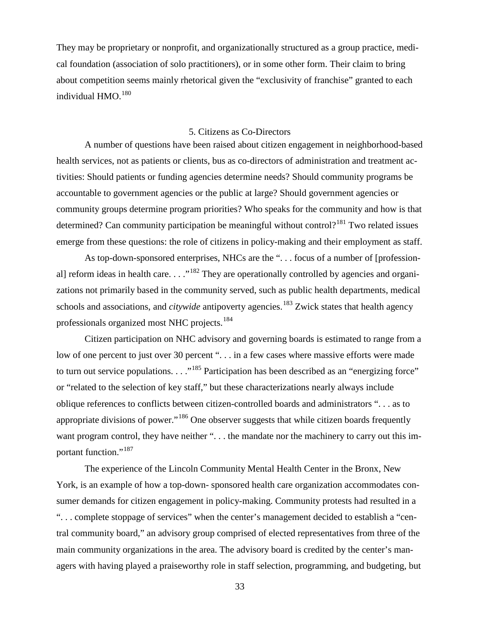They may be proprietary or nonprofit, and organizationally structured as a group practice, medical foundation (association of solo practitioners), or in some other form. Their claim to bring about competition seems mainly rhetorical given the "exclusivity of franchise" granted to each individual  $HMO<sub>180</sub>$  $HMO<sub>180</sub>$  $HMO<sub>180</sub>$ 

#### 5. Citizens as Co-Directors

A number of questions have been raised about citizen engagement in neighborhood-based health services, not as patients or clients, bus as co-directors of administration and treatment activities: Should patients or funding agencies determine needs? Should community programs be accountable to government agencies or the public at large? Should government agencies or community groups determine program priorities? Who speaks for the community and how is that determined? Can community participation be meaningful without control?<sup>[181](#page-60-14)</sup> Two related issues emerge from these questions: the role of citizens in policy-making and their employment as staff.

As top-down-sponsored enterprises, NHCs are the "... focus of a number of [professional] reform ideas in health care.  $\ldots$ <sup>[182](#page-60-78)</sup> They are operationally controlled by agencies and organizations not primarily based in the community served, such as public health departments, medical schools and associations, and *citywide* antipoverty agencies.<sup>[183](#page-60-79)</sup> Zwick states that health agency professionals organized most NHC projects.<sup>[184](#page-60-80)</sup>

Citizen participation on NHC advisory and governing boards is estimated to range from a low of one percent to just over 30 percent "... in a few cases where massive efforts were made to turn out service populations. . . .<sup>[185](#page-60-81)</sup> Participation has been described as an "energizing force" or "related to the selection of key staff," but these characterizations nearly always include oblique references to conflicts between citizen-controlled boards and administrators ". . . as to appropriate divisions of power."[186](#page-60-82) One observer suggests that while citizen boards frequently want program control, they have neither "... the mandate nor the machinery to carry out this im-portant function."<sup>[187](#page-60-83)</sup>

The experience of the Lincoln Community Mental Health Center in the Bronx, New York, is an example of how a top-down- sponsored health care organization accommodates consumer demands for citizen engagement in policy-making. Community protests had resulted in a ". . . complete stoppage of services" when the center's management decided to establish a "central community board," an advisory group comprised of elected representatives from three of the main community organizations in the area. The advisory board is credited by the center's managers with having played a praiseworthy role in staff selection, programming, and budgeting, but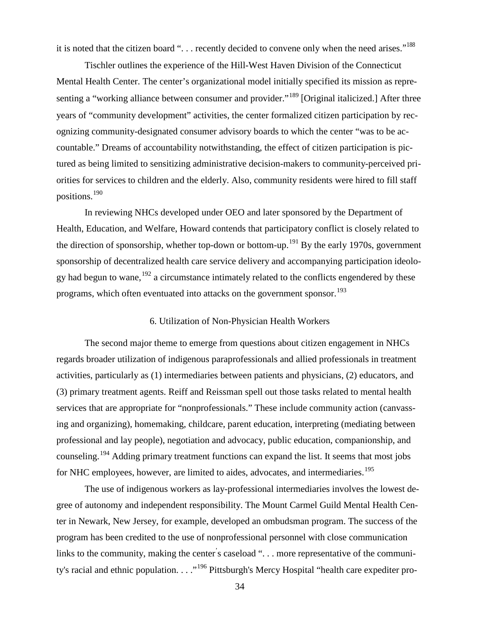it is noted that the citizen board "... recently decided to convene only when the need arises."<sup>[188](#page-60-84)</sup>

Tischler outlines the experience of the Hill-West Haven Division of the Connecticut Mental Health Center. The center's organizational model initially specified its mission as repre-senting a "working alliance between consumer and provider."<sup>[189](#page-60-85)</sup> [Original italicized.] After three years of "community development" activities, the center formalized citizen participation by recognizing community-designated consumer advisory boards to which the center "was to be accountable." Dreams of accountability notwithstanding, the effect of citizen participation is pictured as being limited to sensitizing administrative decision-makers to community-perceived priorities for services to children and the elderly. Also, community residents were hired to fill staff positions.[190](#page-60-86)

In reviewing NHCs developed under OEO and later sponsored by the Department of Health, Education, and Welfare, Howard contends that participatory conflict is closely related to the direction of sponsorship, whether top-down or bottom-up.<sup>[191](#page-60-87)</sup> By the early 1970s, government sponsorship of decentralized health care service delivery and accompanying participation ideology had begun to wane,  $192$  a circumstance intimately related to the conflicts engendered by these programs, which often eventuated into attacks on the government sponsor.<sup>[193](#page-60-89)</sup>

#### 6. Utilization of Non-Physician Health Workers

The second major theme to emerge from questions about citizen engagement in NHCs regards broader utilization of indigenous paraprofessionals and allied professionals in treatment activities, particularly as (1) intermediaries between patients and physicians, (2) educators, and (3) primary treatment agents. Reiff and Reissman spell out those tasks related to mental health services that are appropriate for "nonprofessionals." These include community action (canvassing and organizing), homemaking, childcare, parent education, interpreting (mediating between professional and lay people), negotiation and advocacy, public education, companionship, and counseling.[194](#page-60-90) Adding primary treatment functions can expand the list. It seems that most jobs for NHC employees, however, are limited to aides, advocates, and intermediaries.<sup>[195](#page-60-91)</sup>

The use of indigenous workers as lay-professional intermediaries involves the lowest degree of autonomy and independent responsibility. The Mount Carmel Guild Mental Health Center in Newark, New Jersey, for example, developed an ombudsman program. The success of the program has been credited to the use of nonprofessional personnel with close communication links to the community, making the center's caseload ". . . more representative of the communi-ty's racial and ethnic population. . . . "<sup>[196](#page-60-92)</sup> Pittsburgh's Mercy Hospital "health care expediter pro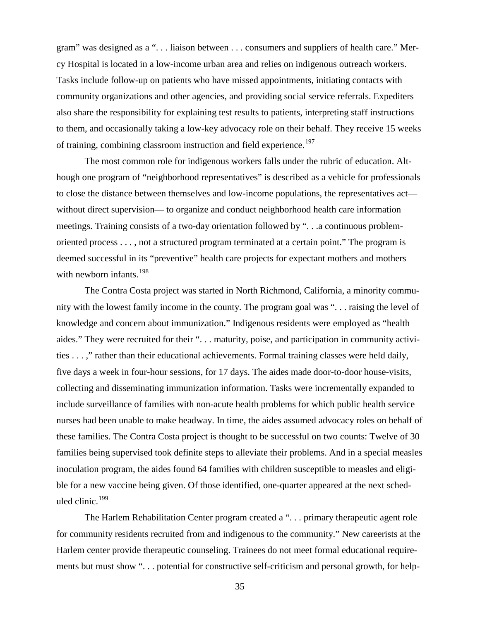gram" was designed as a ". . . liaison between . . . consumers and suppliers of health care." Mercy Hospital is located in a low-income urban area and relies on indigenous outreach workers. Tasks include follow-up on patients who have missed appointments, initiating contacts with community organizations and other agencies, and providing social service referrals. Expediters also share the responsibility for explaining test results to patients, interpreting staff instructions to them, and occasionally taking a low-key advocacy role on their behalf. They receive 15 weeks of training, combining classroom instruction and field experience.<sup>[197](#page-60-93)</sup>

The most common role for indigenous workers falls under the rubric of education. Although one program of "neighborhood representatives" is described as a vehicle for professionals to close the distance between themselves and low-income populations, the representatives act without direct supervision— to organize and conduct neighborhood health care information meetings. Training consists of a two-day orientation followed by ". . .a continuous problemoriented process . . . , not a structured program terminated at a certain point." The program is deemed successful in its "preventive" health care projects for expectant mothers and mothers with newborn infants.<sup>[198](#page-60-94)</sup>

The Contra Costa project was started in North Richmond, California, a minority community with the lowest family income in the county. The program goal was ". . . raising the level of knowledge and concern about immunization." Indigenous residents were employed as "health aides." They were recruited for their ". . . maturity, poise, and participation in community activities . . . ," rather than their educational achievements. Formal training classes were held daily, five days a week in four-hour sessions, for 17 days. The aides made door-to-door house-visits, collecting and disseminating immunization information. Tasks were incrementally expanded to include surveillance of families with non-acute health problems for which public health service nurses had been unable to make headway. In time, the aides assumed advocacy roles on behalf of these families. The Contra Costa project is thought to be successful on two counts: Twelve of 30 families being supervised took definite steps to alleviate their problems. And in a special measles inoculation program, the aides found 64 families with children susceptible to measles and eligible for a new vaccine being given. Of those identified, one-quarter appeared at the next scheduled clinic. $199$ 

The Harlem Rehabilitation Center program created a ". . . primary therapeutic agent role for community residents recruited from and indigenous to the community." New careerists at the Harlem center provide therapeutic counseling. Trainees do not meet formal educational requirements but must show ". . . potential for constructive self-criticism and personal growth, for help-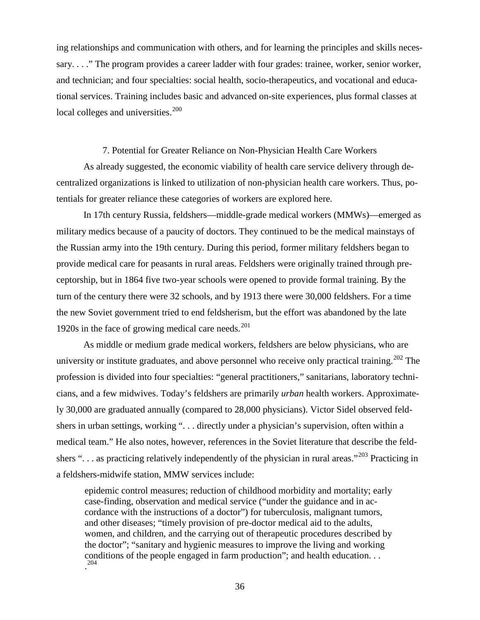ing relationships and communication with others, and for learning the principles and skills necessary. . . ." The program provides a career ladder with four grades: trainee, worker, senior worker, and technician; and four specialties: social health, socio-therapeutics, and vocational and educational services. Training includes basic and advanced on-site experiences, plus formal classes at local colleges and universities.<sup>[200](#page-60-95)</sup>

#### 7. Potential for Greater Reliance on Non-Physician Health Care Workers

As already suggested, the economic viability of health care service delivery through decentralized organizations is linked to utilization of non-physician health care workers. Thus, potentials for greater reliance these categories of workers are explored here.

In 17th century Russia, feldshers—middle-grade medical workers (MMWs)—emerged as military medics because of a paucity of doctors. They continued to be the medical mainstays of the Russian army into the 19th century. During this period, former military feldshers began to provide medical care for peasants in rural areas. Feldshers were originally trained through preceptorship, but in 1864 five two-year schools were opened to provide formal training. By the turn of the century there were 32 schools, and by 1913 there were 30,000 feldshers. For a time the new Soviet government tried to end feldsherism, but the effort was abandoned by the late 1920s in the face of growing medical care needs. $^{201}$  $^{201}$  $^{201}$ 

As middle or medium grade medical workers, feldshers are below physicians, who are university or institute graduates, and above personnel who receive only practical training.<sup>[202](#page-60-97)</sup> The profession is divided into four specialties: "general practitioners," sanitarians, laboratory technicians, and a few midwives. Today's feldshers are primarily *urban* health workers. Approximately 30,000 are graduated annually (compared to 28,000 physicians). Victor Sidel observed feldshers in urban settings, working ". . . directly under a physician's supervision, often within a medical team." He also notes, however, references in the Soviet literature that describe the feld-shers "... as practicing relatively independently of the physician in rural areas."<sup>[203](#page-60-98)</sup> Practicing in a feldshers-midwife station, MMW services include:

epidemic control measures; reduction of childhood morbidity and mortality; early case-finding, observation and medical service ("under the guidance and in accordance with the instructions of a doctor") for tuberculosis, malignant tumors, and other diseases; "timely provision of pre-doctor medical aid to the adults, women, and children, and the carrying out of therapeutic procedures described by the doctor"; "sanitary and hygienic measures to improve the living and working conditions of the people engaged in farm production"; and health education. . . . [204](#page-60-82)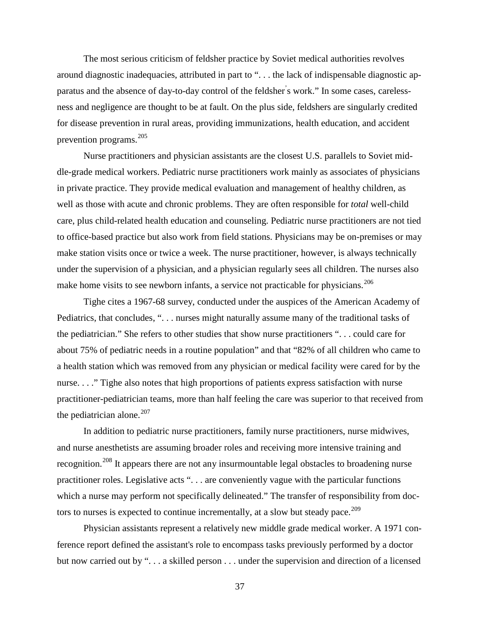The most serious criticism of feldsher practice by Soviet medical authorities revolves around diagnostic inadequacies, attributed in part to ". . . the lack of indispensable diagnostic apparatus and the absence of day-to-day control of the feldsher' s work." In some cases, carelessness and negligence are thought to be at fault. On the plus side, feldshers are singularly credited for disease prevention in rural areas, providing immunizations, health education, and accident prevention programs.[205](#page-60-99)

Nurse practitioners and physician assistants are the closest U.S. parallels to Soviet middle-grade medical workers. Pediatric nurse practitioners work mainly as associates of physicians in private practice. They provide medical evaluation and management of healthy children, as well as those with acute and chronic problems. They are often responsible for *total* well-child care, plus child-related health education and counseling. Pediatric nurse practitioners are not tied to office-based practice but also work from field stations. Physicians may be on-premises or may make station visits once or twice a week. The nurse practitioner, however, is always technically under the supervision of a physician, and a physician regularly sees all children. The nurses also make home visits to see newborn infants, a service not practicable for physicians.<sup>[206](#page-60-100)</sup>

Tighe cites a 1967-68 survey, conducted under the auspices of the American Academy of Pediatrics, that concludes, ". . . nurses might naturally assume many of the traditional tasks of the pediatrician." She refers to other studies that show nurse practitioners ". . . could care for about 75% of pediatric needs in a routine population" and that "82% of all children who came to a health station which was removed from any physician or medical facility were cared for by the nurse. . . ." Tighe also notes that high proportions of patients express satisfaction with nurse practitioner-pediatrician teams, more than half feeling the care was superior to that received from the pediatrician alone. $207$ 

In addition to pediatric nurse practitioners, family nurse practitioners, nurse midwives, and nurse anesthetists are assuming broader roles and receiving more intensive training and recognition.<sup>[208](#page-60-102)</sup> It appears there are not any insurmountable legal obstacles to broadening nurse practitioner roles. Legislative acts ". . . are conveniently vague with the particular functions which a nurse may perform not specifically delineated." The transfer of responsibility from doc-tors to nurses is expected to continue incrementally, at a slow but steady pace.<sup>[209](#page-60-103)</sup>

Physician assistants represent a relatively new middle grade medical worker. A 1971 conference report defined the assistant's role to encompass tasks previously performed by a doctor but now carried out by ". . . a skilled person . . . under the supervision and direction of a licensed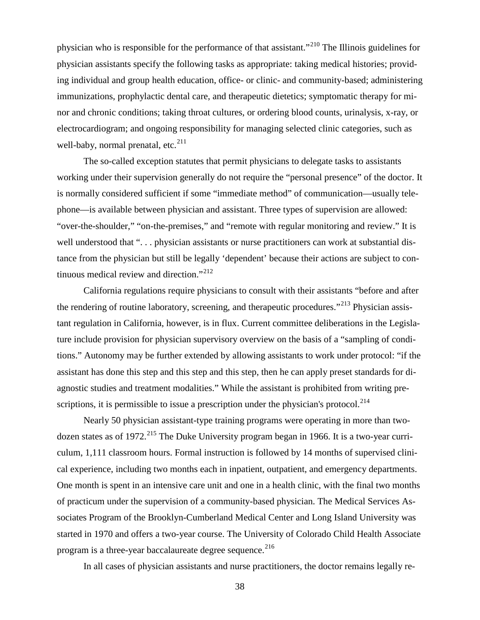physician who is responsible for the performance of that assistant."<sup>[210](#page-60-104)</sup> The Illinois guidelines for physician assistants specify the following tasks as appropriate: taking medical histories; providing individual and group health education, office- or clinic- and community-based; administering immunizations, prophylactic dental care, and therapeutic dietetics; symptomatic therapy for minor and chronic conditions; taking throat cultures, or ordering blood counts, urinalysis, x-ray, or electrocardiogram; and ongoing responsibility for managing selected clinic categories, such as well-baby, normal prenatal, etc. $^{211}$  $^{211}$  $^{211}$ 

The so-called exception statutes that permit physicians to delegate tasks to assistants working under their supervision generally do not require the "personal presence" of the doctor. It is normally considered sufficient if some "immediate method" of communication—usually telephone—is available between physician and assistant. Three types of supervision are allowed: "over-the-shoulder," "on-the-premises," and "remote with regular monitoring and review." It is well understood that "... physician assistants or nurse practitioners can work at substantial distance from the physician but still be legally 'dependent' because their actions are subject to con-tinuous medical review and direction."<sup>[212](#page-60-106)</sup>

California regulations require physicians to consult with their assistants "before and after the rendering of routine laboratory, screening, and therapeutic procedures."<sup>[213](#page-60-107)</sup> Physician assistant regulation in California, however, is in flux. Current committee deliberations in the Legislature include provision for physician supervisory overview on the basis of a "sampling of conditions." Autonomy may be further extended by allowing assistants to work under protocol: "if the assistant has done this step and this step and this step, then he can apply preset standards for diagnostic studies and treatment modalities." While the assistant is prohibited from writing pre-scriptions, it is permissible to issue a prescription under the physician's protocol.<sup>[214](#page-60-108)</sup>

Nearly 50 physician assistant-type training programs were operating in more than two-dozen states as of 1972.<sup>[215](#page-60-109)</sup> The Duke University program began in 1966. It is a two-year curriculum, 1,111 classroom hours. Formal instruction is followed by 14 months of supervised clinical experience, including two months each in inpatient, outpatient, and emergency departments. One month is spent in an intensive care unit and one in a health clinic, with the final two months of practicum under the supervision of a community-based physician. The Medical Services Associates Program of the Brooklyn-Cumberland Medical Center and Long Island University was started in 1970 and offers a two-year course. The University of Colorado Child Health Associate program is a three-year baccalaureate degree sequence.<sup>[216](#page-60-110)</sup>

In all cases of physician assistants and nurse practitioners, the doctor remains legally re-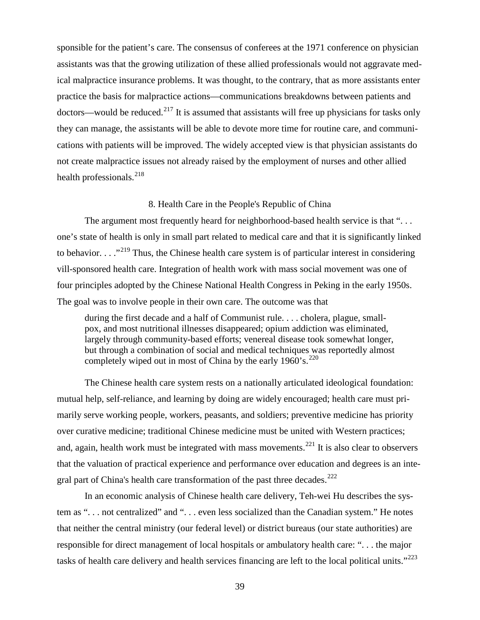sponsible for the patient's care. The consensus of conferees at the 1971 conference on physician assistants was that the growing utilization of these allied professionals would not aggravate medical malpractice insurance problems. It was thought, to the contrary, that as more assistants enter practice the basis for malpractice actions—communications breakdowns between patients and doctors—would be reduced.<sup>[217](#page-60-32)</sup> It is assumed that assistants will free up physicians for tasks only they can manage, the assistants will be able to devote more time for routine care, and communications with patients will be improved. The widely accepted view is that physician assistants do not create malpractice issues not already raised by the employment of nurses and other allied health professionals. $^{218}$  $^{218}$  $^{218}$ 

#### 8. Health Care in the People's Republic of China

The argument most frequently heard for neighborhood-based health service is that "... one's state of health is only in small part related to medical care and that it is significantly linked to behavior.  $\ldots$ <sup>[219](#page-60-0)</sup> Thus, the Chinese health care system is of particular interest in considering vill-sponsored health care. Integration of health work with mass social movement was one of four principles adopted by the Chinese National Health Congress in Peking in the early 1950s. The goal was to involve people in their own care. The outcome was that

during the first decade and a half of Communist rule. . . . cholera, plague, smallpox, and most nutritional illnesses disappeared; opium addiction was eliminated, largely through community-based efforts; venereal disease took somewhat longer, but through a combination of social and medical techniques was reportedly almost completely wiped out in most of China by the early  $1960$ 's.<sup>[220](#page-60-16)</sup>

The Chinese health care system rests on a nationally articulated ideological foundation: mutual help, self-reliance, and learning by doing are widely encouraged; health care must primarily serve working people, workers, peasants, and soldiers; preventive medicine has priority over curative medicine; traditional Chinese medicine must be united with Western practices; and, again, health work must be integrated with mass movements.<sup>[221](#page-60-17)</sup> It is also clear to observers that the valuation of practical experience and performance over education and degrees is an inte-gral part of China's health care transformation of the past three decades.<sup>[222](#page-60-112)</sup>

In an economic analysis of Chinese health care delivery, Teh-wei Hu describes the system as ". . . not centralized" and ". . . even less socialized than the Canadian system." He notes that neither the central ministry (our federal level) or district bureaus (our state authorities) are responsible for direct management of local hospitals or ambulatory health care: ". . . the major tasks of health care delivery and health services financing are left to the local political units."<sup>[223](#page-60-54)</sup>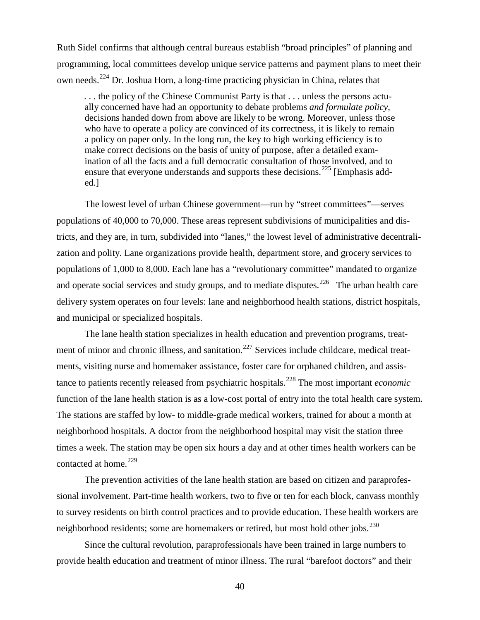Ruth Sidel confirms that although central bureaus establish "broad principles" of planning and programming, local committees develop unique service patterns and payment plans to meet their own needs.[224](#page-60-113) Dr. Joshua Horn, a long-time practicing physician in China, relates that

... the policy of the Chinese Communist Party is that ... unless the persons actually concerned have had an opportunity to debate problems *and formulate policy*, decisions handed down from above are likely to be wrong. Moreover, unless those who have to operate a policy are convinced of its correctness, it is likely to remain a policy on paper only. In the long run, the key to high working efficiency is to make correct decisions on the basis of unity of purpose, after a detailed examination of all the facts and a full democratic consultation of those involved, and to ensure that everyone understands and supports these decisions.<sup>[225](#page-60-70)</sup> [Emphasis added.]

The lowest level of urban Chinese government—run by "street committees"—serves populations of 40,000 to 70,000. These areas represent subdivisions of municipalities and districts, and they are, in turn, subdivided into "lanes," the lowest level of administrative decentralization and polity. Lane organizations provide health, department store, and grocery services to populations of 1,000 to 8,000. Each lane has a "revolutionary committee" mandated to organize and operate social services and study groups, and to mediate disputes.<sup>[226](#page-60-114)</sup> The urban health care delivery system operates on four levels: lane and neighborhood health stations, district hospitals, and municipal or specialized hospitals.

The lane health station specializes in health education and prevention programs, treat-ment of minor and chronic illness, and sanitation.<sup>[227](#page-60-115)</sup> Services include childcare, medical treatments, visiting nurse and homemaker assistance, foster care for orphaned children, and assistance to patients recently released from psychiatric hospitals.[228](#page-60-116) The most important *economic* function of the lane health station is as a low-cost portal of entry into the total health care system. The stations are staffed by low- to middle-grade medical workers, trained for about a month at neighborhood hospitals. A doctor from the neighborhood hospital may visit the station three times a week. The station may be open six hours a day and at other times health workers can be contacted at home.<sup>[229](#page-60-117)</sup>

The prevention activities of the lane health station are based on citizen and paraprofessional involvement. Part-time health workers, two to five or ten for each block, canvass monthly to survey residents on birth control practices and to provide education. These health workers are neighborhood residents; some are homemakers or retired, but most hold other jobs. $^{230}$  $^{230}$  $^{230}$ 

Since the cultural revolution, paraprofessionals have been trained in large numbers to provide health education and treatment of minor illness. The rural "barefoot doctors" and their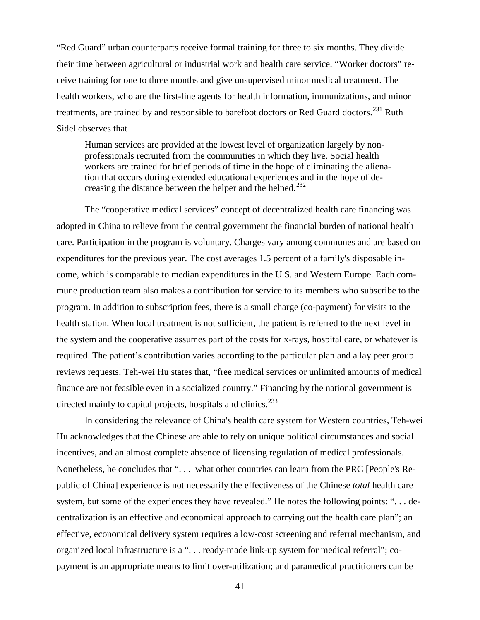"Red Guard" urban counterparts receive formal training for three to six months. They divide their time between agricultural or industrial work and health care service. "Worker doctors" receive training for one to three months and give unsupervised minor medical treatment. The health workers, who are the first-line agents for health information, immunizations, and minor treatments, are trained by and responsible to barefoot doctors or Red Guard doctors.<sup>[231](#page-60-119)</sup> Ruth Sidel observes that

Human services are provided at the lowest level of organization largely by nonprofessionals recruited from the communities in which they live. Social health workers are trained for brief periods of time in the hope of eliminating the alienation that occurs during extended educational experiences and in the hope of de-creasing the distance between the helper and the helped.<sup>[232](#page-60-120)</sup>

The "cooperative medical services" concept of decentralized health care financing was adopted in China to relieve from the central government the financial burden of national health care. Participation in the program is voluntary. Charges vary among communes and are based on expenditures for the previous year. The cost averages 1.5 percent of a family's disposable income, which is comparable to median expenditures in the U.S. and Western Europe. Each commune production team also makes a contribution for service to its members who subscribe to the program. In addition to subscription fees, there is a small charge (co-payment) for visits to the health station. When local treatment is not sufficient, the patient is referred to the next level in the system and the cooperative assumes part of the costs for x-rays, hospital care, or whatever is required. The patient's contribution varies according to the particular plan and a lay peer group reviews requests. Teh-wei Hu states that, "free medical services or unlimited amounts of medical finance are not feasible even in a socialized country." Financing by the national government is directed mainly to capital projects, hospitals and clinics. $233$ 

In considering the relevance of China's health care system for Western countries, Teh-wei Hu acknowledges that the Chinese are able to rely on unique political circumstances and social incentives, and an almost complete absence of licensing regulation of medical professionals. Nonetheless, he concludes that ". . . what other countries can learn from the PRC [People's Republic of China] experience is not necessarily the effectiveness of the Chinese *total* health care system, but some of the experiences they have revealed." He notes the following points: ". . . decentralization is an effective and economical approach to carrying out the health care plan"; an effective, economical delivery system requires a low-cost screening and referral mechanism, and organized local infrastructure is a ". . . ready-made link-up system for medical referral"; copayment is an appropriate means to limit over-utilization; and paramedical practitioners can be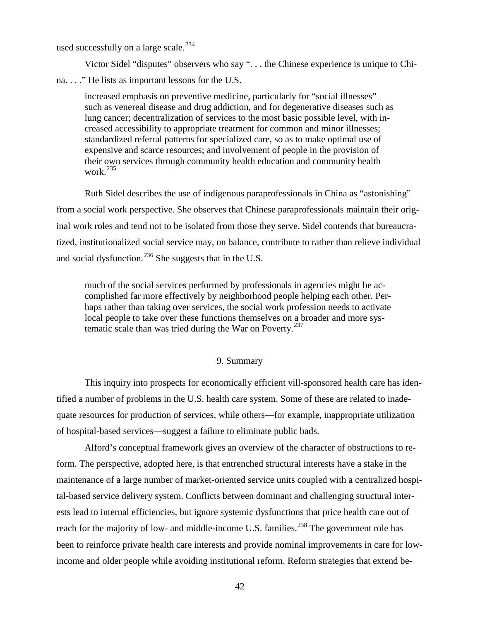used successfully on a large scale. $^{234}$  $^{234}$  $^{234}$ 

Victor Sidel "disputes" observers who say ". . . the Chinese experience is unique to Chi-

na. . . ." He lists as important lessons for the U.S.

increased emphasis on preventive medicine, particularly for "social illnesses" such as venereal disease and drug addiction, and for degenerative diseases such as lung cancer; decentralization of services to the most basic possible level, with increased accessibility to appropriate treatment for common and minor illnesses; standardized referral patterns for specialized care, so as to make optimal use of expensive and scarce resources; and involvement of people in the provision of their own services through community health education and community health work. $^{235}$  $^{235}$  $^{235}$ 

Ruth Sidel describes the use of indigenous paraprofessionals in China as "astonishing" from a social work perspective. She observes that Chinese paraprofessionals maintain their original work roles and tend not to be isolated from those they serve. Sidel contends that bureaucratized, institutionalized social service may, on balance, contribute to rather than relieve individual and social dysfunction.<sup>[236](#page-60-124)</sup> She suggests that in the U.S.

much of the social services performed by professionals in agencies might be accomplished far more effectively by neighborhood people helping each other. Perhaps rather than taking over services, the social work profession needs to activate local people to take over these functions themselves on a broader and more systematic scale than was tried during the War on Poverty. $237$ 

#### 9. Summary

This inquiry into prospects for economically efficient vill-sponsored health care has identified a number of problems in the U.S. health care system. Some of these are related to inadequate resources for production of services, while others—for example, inappropriate utilization of hospital-based services—suggest a failure to eliminate public bads.

Alford's conceptual framework gives an overview of the character of obstructions to reform. The perspective, adopted here, is that entrenched structural interests have a stake in the maintenance of a large number of market-oriented service units coupled with a centralized hospital-based service delivery system. Conflicts between dominant and challenging structural interests lead to internal efficiencies, but ignore systemic dysfunctions that price health care out of reach for the majority of low- and middle-income U.S. families.<sup>[238](#page-60-32)</sup> The government role has been to reinforce private health care interests and provide nominal improvements in care for lowincome and older people while avoiding institutional reform. Reform strategies that extend be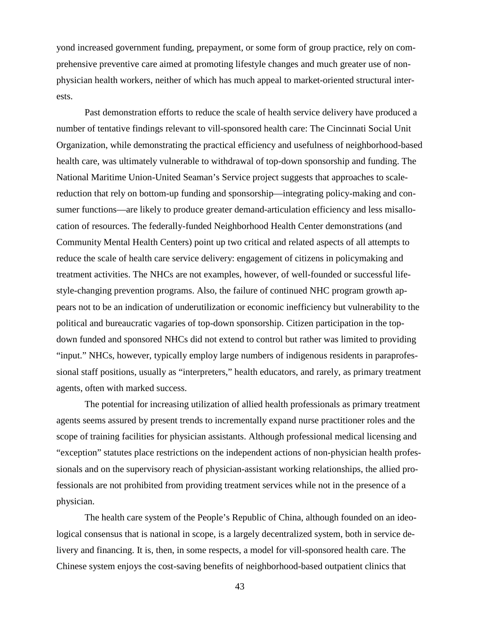yond increased government funding, prepayment, or some form of group practice, rely on comprehensive preventive care aimed at promoting lifestyle changes and much greater use of nonphysician health workers, neither of which has much appeal to market-oriented structural interests.

Past demonstration efforts to reduce the scale of health service delivery have produced a number of tentative findings relevant to vill-sponsored health care: The Cincinnati Social Unit Organization, while demonstrating the practical efficiency and usefulness of neighborhood-based health care, was ultimately vulnerable to withdrawal of top-down sponsorship and funding. The National Maritime Union-United Seaman's Service project suggests that approaches to scalereduction that rely on bottom-up funding and sponsorship—integrating policy-making and consumer functions—are likely to produce greater demand-articulation efficiency and less misallocation of resources. The federally-funded Neighborhood Health Center demonstrations (and Community Mental Health Centers) point up two critical and related aspects of all attempts to reduce the scale of health care service delivery: engagement of citizens in policymaking and treatment activities. The NHCs are not examples, however, of well-founded or successful lifestyle-changing prevention programs. Also, the failure of continued NHC program growth appears not to be an indication of underutilization or economic inefficiency but vulnerability to the political and bureaucratic vagaries of top-down sponsorship. Citizen participation in the topdown funded and sponsored NHCs did not extend to control but rather was limited to providing "input." NHCs, however, typically employ large numbers of indigenous residents in paraprofessional staff positions, usually as "interpreters," health educators, and rarely, as primary treatment agents, often with marked success.

The potential for increasing utilization of allied health professionals as primary treatment agents seems assured by present trends to incrementally expand nurse practitioner roles and the scope of training facilities for physician assistants. Although professional medical licensing and "exception" statutes place restrictions on the independent actions of non-physician health professionals and on the supervisory reach of physician-assistant working relationships, the allied professionals are not prohibited from providing treatment services while not in the presence of a physician.

The health care system of the People's Republic of China, although founded on an ideological consensus that is national in scope, is a largely decentralized system, both in service delivery and financing. It is, then, in some respects, a model for vill-sponsored health care. The Chinese system enjoys the cost-saving benefits of neighborhood-based outpatient clinics that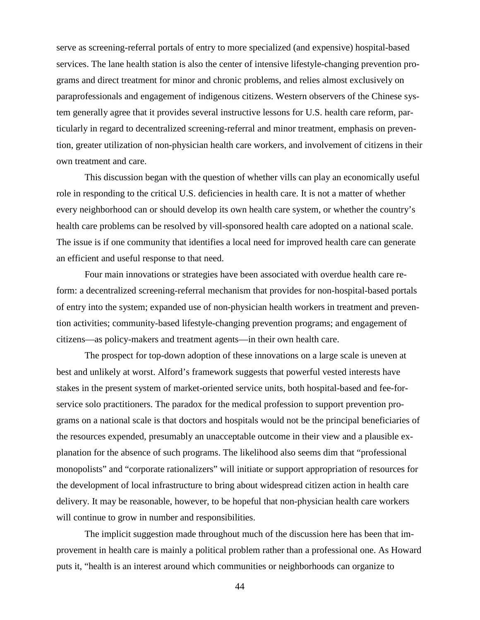serve as screening-referral portals of entry to more specialized (and expensive) hospital-based services. The lane health station is also the center of intensive lifestyle-changing prevention programs and direct treatment for minor and chronic problems, and relies almost exclusively on paraprofessionals and engagement of indigenous citizens. Western observers of the Chinese system generally agree that it provides several instructive lessons for U.S. health care reform, particularly in regard to decentralized screening-referral and minor treatment, emphasis on prevention, greater utilization of non-physician health care workers, and involvement of citizens in their own treatment and care.

This discussion began with the question of whether vills can play an economically useful role in responding to the critical U.S. deficiencies in health care. It is not a matter of whether every neighborhood can or should develop its own health care system, or whether the country's health care problems can be resolved by vill-sponsored health care adopted on a national scale. The issue is if one community that identifies a local need for improved health care can generate an efficient and useful response to that need.

Four main innovations or strategies have been associated with overdue health care reform: a decentralized screening-referral mechanism that provides for non-hospital-based portals of entry into the system; expanded use of non-physician health workers in treatment and prevention activities; community-based lifestyle-changing prevention programs; and engagement of citizens—as policy-makers and treatment agents—in their own health care.

The prospect for top-down adoption of these innovations on a large scale is uneven at best and unlikely at worst. Alford's framework suggests that powerful vested interests have stakes in the present system of market-oriented service units, both hospital-based and fee-forservice solo practitioners. The paradox for the medical profession to support prevention programs on a national scale is that doctors and hospitals would not be the principal beneficiaries of the resources expended, presumably an unacceptable outcome in their view and a plausible explanation for the absence of such programs. The likelihood also seems dim that "professional monopolists" and "corporate rationalizers" will initiate or support appropriation of resources for the development of local infrastructure to bring about widespread citizen action in health care delivery. It may be reasonable, however, to be hopeful that non-physician health care workers will continue to grow in number and responsibilities.

The implicit suggestion made throughout much of the discussion here has been that improvement in health care is mainly a political problem rather than a professional one. As Howard puts it, "health is an interest around which communities or neighborhoods can organize to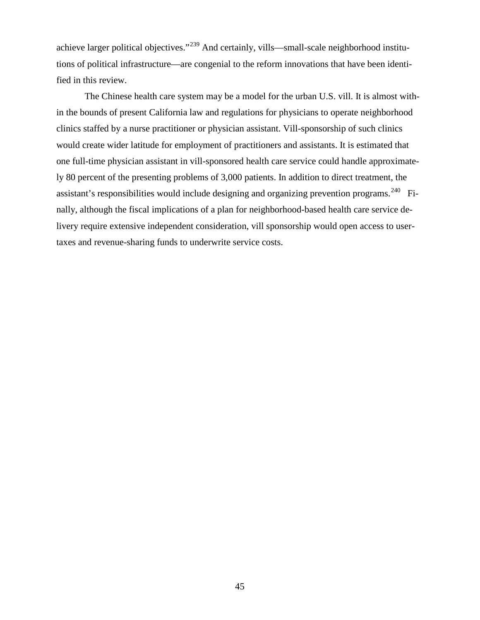achieve larger political objectives."[239](#page-60-126) And certainly, vills—small-scale neighborhood institutions of political infrastructure—are congenial to the reform innovations that have been identified in this review.

The Chinese health care system may be a model for the urban U.S. vill. It is almost within the bounds of present California law and regulations for physicians to operate neighborhood clinics staffed by a nurse practitioner or physician assistant. Vill-sponsorship of such clinics would create wider latitude for employment of practitioners and assistants. It is estimated that one full-time physician assistant in vill-sponsored health care service could handle approximately 80 percent of the presenting problems of 3,000 patients. In addition to direct treatment, the assistant's responsibilities would include designing and organizing prevention programs.<sup>[240](#page-60-127)</sup> Finally, although the fiscal implications of a plan for neighborhood-based health care service delivery require extensive independent consideration, vill sponsorship would open access to usertaxes and revenue-sharing funds to underwrite service costs.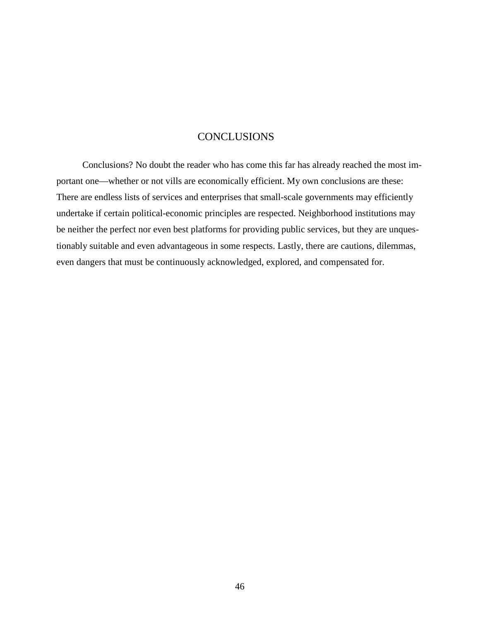# **CONCLUSIONS**

Conclusions? No doubt the reader who has come this far has already reached the most important one—whether or not vills are economically efficient. My own conclusions are these: There are endless lists of services and enterprises that small-scale governments may efficiently undertake if certain political-economic principles are respected. Neighborhood institutions may be neither the perfect nor even best platforms for providing public services, but they are unquestionably suitable and even advantageous in some respects. Lastly, there are cautions, dilemmas, even dangers that must be continuously acknowledged, explored, and compensated for.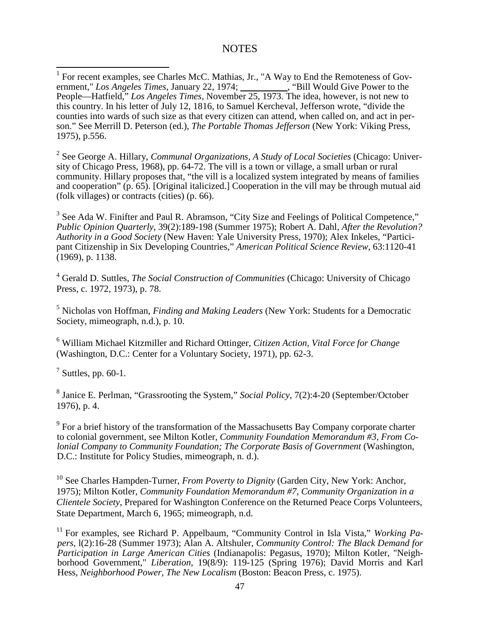## **NOTES**

<sup>2</sup> See George A. Hillary, *Communal Organizations, A Study of Local Societies* (Chicago: University of Chicago Press, 1968), pp. 64-72. The vill is a town or village, a small urban or rural community. Hillary proposes that, "the vill is a localized system integrated by means of families and cooperation" (p. 65). [Original italicized.] Cooperation in the vill may be through mutual aid (folk villages) or contracts (cities) (p. 66).

<sup>3</sup> See Ada W. Finifter and Paul R. Abramson, "City Size and Feelings of Political Competence," *Public Opinion Quarterly*, 39(2):189-198 (Summer 1975); Robert A. Dahl, *After the Revolution? Authority in a Good Society* (New Haven: Yale University Press, 1970); Alex Inkeles, "Participant Citizenship in Six Developing Countries," *American Political Science Review*, 63:1120-41 (1969), p. 1138.

<sup>4</sup> Gerald D. Suttles, *The Social Construction of Communities* (Chicago: University of Chicago Press, c. 1972, 1973), p. 78.

<sup>5</sup> Nicholas von Hoffman, *Finding and Making Leaders* (New York: Students for a Democratic Society, mimeograph, n.d.), p. 10.

<sup>6</sup> William Michael Kitzmiller and Richard Ottinger, *Citizen Action, Vital Force for Change* (Washington, D.C.: Center for a Voluntary Society, 1971), pp. 62-3.

 $^7$  Suttles, pp. 60-1.

<sup>8</sup> Janice E. Perlman, "Grassrooting the System," *Social Policy*, 7(2):4-20 (September/October 1976), p. 4.

 $9<sup>9</sup>$  For a brief history of the transformation of the Massachusetts Bay Company corporate charter to colonial government, see Milton Kotler, *Community Foundation Memorandum #3, From Colonial Company to Community Foundation; The Corporate Basis of Government* (Washington, D.C.: Institute for Policy Studies, mimeograph, n. d.).

<sup>10</sup> See Charles Hampden-Turner, *From Poverty to Dignity* (Garden City, New York: Anchor, 1975); Milton Kotler, *Community Foundation Memorandum #7, Community Organization in a Clientele Society*, Prepared for Washington Conference on the Returned Peace Corps Volunteers, State Department, March 6, 1965; mimeograph, n.d.

<sup>11</sup> For examples, see Richard P. Appelbaum, "Community Control in Isla Vista," *Working Papers*, l(2):16-28 (Summer 1973); Alan A. Altshuler, *Community Control: The Black Demand for Participation in Large American Cities* (Indianapolis: Pegasus, 1970); Milton Kotler, "Neighborhood Government," *Liberation*, 19(8/9): 119-125 (Spring 1976); David Morris and Karl Hess, *Neighborhood Power, The New Localism* (Boston: Beacon Press, c. 1975).

 $1$  For recent examples, see Charles McC. Mathias, Jr., "A Way to End the Remoteness of Government," *Los Angeles Times*, January 22, 1974; \_\_\_\_\_\_\_\_\_\_, "Bill Would Give Power to the People—Hatfield," *Los Angeles Times*, November 25, 1973. The idea, however, is not new to this country. In his letter of July 12, 1816, to Samuel Kercheval, Jefferson wrote, "divide the counties into wards of such size as that every citizen can attend, when called on, and act in person." See Merrill D. Peterson (ed.), *The Portable Thomas Jefferson* (New York: Viking Press, 1975), p.556.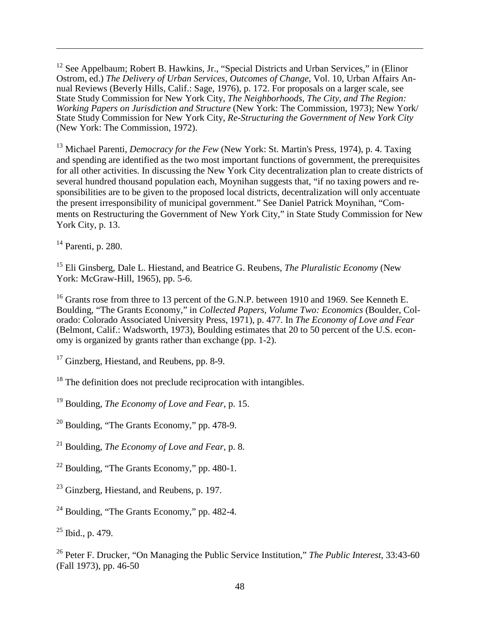<span id="page-47-0"></span><sup>12</sup> See Appelbaum; Robert B. Hawkins, Jr., "Special Districts and Urban Services," in (Elinor Ostrom, ed.) *The Delivery of Urban Services, Outcomes of Change*, Vol. 10, Urban Affairs Annual Reviews (Beverly Hills, Calif.: Sage, 1976), p. 172. For proposals on a larger scale, see State Study Commission for New York City, *The Neighborhoods, The City, and The Region: Working Papers on Jurisdiction and Structure* (New York: The Commission, 1973); New York/ State Study Commission for New York City, *Re-Structuring the Government of New York City* (New York: The Commission, 1972).

<span id="page-47-1"></span><sup>13</sup> Michael Parenti, *Democracy for the Few* (New York: St. Martin's Press, 1974), p. 4. Taxing and spending are identified as the two most important functions of government, the prerequisites for all other activities. In discussing the New York City decentralization plan to create districts of several hundred thousand population each, Moynihan suggests that, "if no taxing powers and responsibilities are to be given to the proposed local districts, decentralization will only accentuate the present irresponsibility of municipal government." See Daniel Patrick Moynihan, "Comments on Restructuring the Government of New York City," in State Study Commission for New York City, p. 13.

<span id="page-47-2"></span> $14$  Parenti, p. 280.

 $\overline{a}$ 

<span id="page-47-3"></span><sup>15</sup> Eli Ginsberg, Dale L. Hiestand, and Beatrice G. Reubens, *The Pluralistic Economy* (New York: McGraw-Hill, 1965), pp. 5-6.

<span id="page-47-4"></span><sup>16</sup> Grants rose from three to 13 percent of the G.N.P. between 1910 and 1969. See Kenneth E. Boulding, "The Grants Economy," in *Collected Papers, Volume Two: Economics* (Boulder, Colorado: Colorado Associated University Press, 1971), p. 477. In *The Economy of Love and Fear* (Belmont, Calif.: Wadsworth, 1973), Boulding estimates that 20 to 50 percent of the U.S. economy is organized by grants rather than exchange (pp. 1-2).

<span id="page-47-5"></span> $17$  Ginzberg, Hiestand, and Reubens, pp. 8-9.

<span id="page-47-6"></span> $18$  The definition does not preclude reciprocation with intangibles.

<span id="page-47-7"></span><sup>19</sup> Boulding, *The Economy of Love and Fear*, p. 15.

<span id="page-47-8"></span><sup>20</sup> Boulding, "The Grants Economy," pp. 478-9.

<sup>21</sup> Boulding, *The Economy of Love and Fear*, p. 8.

<sup>22</sup> Boulding, "The Grants Economy," pp. 480-1.

<span id="page-47-9"></span> $23$  Ginzberg, Hiestand, and Reubens, p. 197.

 $24$  Boulding, "The Grants Economy," pp. 482-4.

 $25$  Ibid., p. 479.

<sup>26</sup> Peter F. Drucker, "On Managing the Public Service Institution," *The Public Interest*, 33:43-60 (Fall 1973), pp. 46-50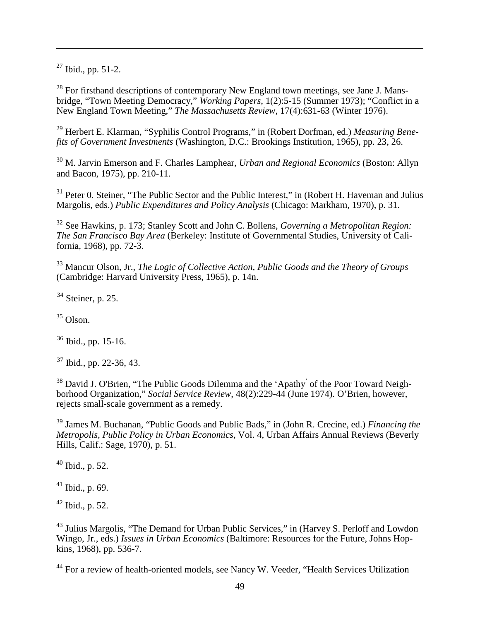<span id="page-48-1"></span> $27$  Ibid., pp. 51-2.

 $\overline{a}$ 

 $28$  For firsthand descriptions of contemporary New England town meetings, see Jane J. Mansbridge, "Town Meeting Democracy," *Working Papers*, 1(2):5-15 (Summer 1973); "Conflict in a New England Town Meeting," *The Massachusetts Review*, 17(4):631-63 (Winter 1976).

<sup>29</sup> Herbert E. Klarman, "Syphilis Control Programs," in (Robert Dorfman, ed.) *Measuring Benefits of Government Investments* (Washington, D.C.: Brookings Institution, 1965), pp. 23, 26.

<span id="page-48-2"></span><sup>30</sup> M. Jarvin Emerson and F. Charles Lamphear, *Urban and Regional Economics* (Boston: Allyn and Bacon, 1975), pp. 210-11.

<sup>31</sup> Peter 0. Steiner, "The Public Sector and the Public Interest," in (Robert H. Haveman and Julius Margolis, eds.) *Public Expenditures and Policy Analysis* (Chicago: Markham, 1970), p. 31.

<sup>32</sup> See Hawkins, p. 173; Stanley Scott and John C. Bollens, *Governing a Metropolitan Region: The San Francisco Bay Area* (Berkeley: Institute of Governmental Studies, University of California, 1968), pp. 72-3.

<span id="page-48-3"></span><sup>33</sup> Mancur Olson, Jr., *The Logic of Collective Action, Public Goods and the Theory of Groups* (Cambridge: Harvard University Press, 1965), p. 14n.

 $34$  Steiner, p. 25.

 $35$  Olson.

 $36$  Ibid., pp. 15-16.

 $37$  Ibid., pp. 22-36, 43.

<sup>38</sup> David J. O'Brien, "The Public Goods Dilemma and the 'Apathy' of the Poor Toward Neighborhood Organization," *Social Service Review*, 48(2):229-44 (June 1974). O'Brien, however, rejects small-scale government as a remedy.

<sup>39</sup> James M. Buchanan, "Public Goods and Public Bads," in (John R. Crecine, ed.) *Financing the Metropolis, Public Policy in Urban Economics*, Vol. 4, Urban Affairs Annual Reviews (Beverly Hills, Calif.: Sage, 1970), p. 51.

 $40$  Ibid., p. 52.

 $41$  Ibid., p. 69.

 $42$  Ibid., p. 52.

<span id="page-48-0"></span><sup>43</sup> Julius Margolis, "The Demand for Urban Public Services," in (Harvey S. Perloff and Lowdon Wingo, Jr., eds.) *Issues in Urban Economics* (Baltimore: Resources for the Future, Johns Hopkins, 1968), pp. 536-7.

<sup>44</sup> For a review of health-oriented models, see Nancy W. Veeder, "Health Services Utilization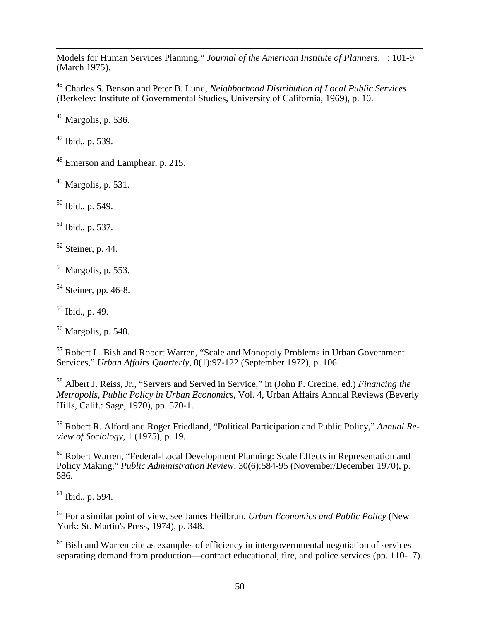$\overline{a}$ Models for Human Services Planning," *Journal of the American Institute of Planners*, : 101-9 (March 1975).

<sup>45</sup> Charles S. Benson and Peter B. Lund, *Neighborhood Distribution of Local Public Services* (Berkeley: Institute of Governmental Studies, University of California, 1969), p. 10.

 $46$  Margolis, p. 536.

 $47$  Ibid., p. 539.

<sup>48</sup> Emerson and Lamphear, p. 215.

 $49$  Margolis, p. 531.

 $50$  Ibid., p. 549.

 $51$  Ibid., p. 537.

 $52$  Steiner, p. 44.

<span id="page-49-0"></span><sup>53</sup> Margolis, p. 553.

 $54$  Steiner, pp. 46-8.

<span id="page-49-1"></span> $55$  Ibid., p. 49.

 $<sup>56</sup>$  Margolis, p. 548.</sup>

<span id="page-49-2"></span><sup>57</sup> Robert L. Bish and Robert Warren, "Scale and Monopoly Problems in Urban Government Services," *Urban Affairs Quarterly*, 8(1):97-122 (September 1972), p. 106.

<span id="page-49-4"></span><span id="page-49-3"></span><sup>58</sup> Albert J. Reiss, Jr., "Servers and Served in Service," in (John P. Crecine, ed.) *Financing the Metropolis, Public Policy in Urban Economics*, Vol. 4, Urban Affairs Annual Reviews (Beverly Hills, Calif.: Sage, 1970), pp. 570-1.

<span id="page-49-5"></span><sup>59</sup> Robert R. Alford and Roger Friedland, "Political Participation and Public Policy," *Annual Review of Sociology*, 1 (1975), p. 19.

<span id="page-49-7"></span><span id="page-49-6"></span><sup>60</sup> Robert Warren, "Federal-Local Development Planning: Scale Effects in Representation and Policy Making," *Public Administration Review*, 30(6):584-95 (November/December 1970), p. 586.

<span id="page-49-8"></span> $61$  Ibid., p. 594.

<sup>62</sup> For a similar point of view, see James Heilbrun, *Urban Economics and Public Policy* (New York: St. Martin's Press, 1974), p. 348.

 $63$  Bish and Warren cite as examples of efficiency in intergovernmental negotiation of services separating demand from production—contract educational, fire, and police services (pp. 110-17).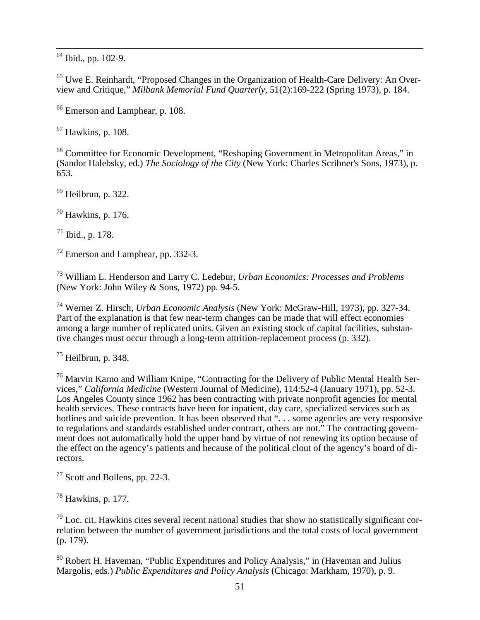$64$  Ibid., pp. 102-9.

<span id="page-50-4"></span><span id="page-50-3"></span><sup>65</sup> Uwe E. Reinhardt, "Proposed Changes in the Organization of Health-Care Delivery: An Overview and Critique," *Milbank Memorial Fund Quarterly*, 51(2):169-222 (Spring 1973), p. 184.

<sup>66</sup> Emerson and Lamphear, p. 108.

<sup>67</sup> Hawkins, p. 108.

<sup>68</sup> Committee for Economic Development, "Reshaping Government in Metropolitan Areas," in (Sandor Halebsky, ed.) *The Sociology of the City* (New York: Charles Scribner's Sons, 1973), p. 653.

 $69$  Heilbrun, p. 322.

 $70$  Hawkins, p. 176.

 $71$  Ibid., p. 178.

<sup>72</sup> Emerson and Lamphear, pp. 332-3.

<sup>73</sup> William L. Henderson and Larry C. Ledebur, *Urban Economics: Processes and Problems* (New York: John Wiley & Sons, 1972) pp. 94-5.

<sup>74</sup> Werner Z. Hirsch, *Urban Economic Analysis* (New York: McGraw-Hill, 1973), pp. 327-34. Part of the explanation is that few near-term changes can be made that will effect economies among a large number of replicated units. Given an existing stock of capital facilities, substantive changes must occur through a long-term attrition-replacement process (p. 332).

 $75$  Heilbrun, p. 348.

<sup>76</sup> Marvin Karno and William Knipe, "Contracting for the Delivery of Public Mental Health Services," *California Medicine* (Western Journal of Medicine), 114:52-4 (January 1971), pp. 52-3. Los Angeles County since 1962 has been contracting with private nonprofit agencies for mental health services. These contracts have been for inpatient, day care, specialized services such as hotlines and suicide prevention. It has been observed that "... some agencies are very responsive to regulations and standards established under contract, others are not." The contracting government does not automatically hold the upper hand by virtue of not renewing its option because of the effect on the agency's patients and because of the political clout of the agency's board of directors.

<sup>77</sup> Scott and Bollens, pp. 22-3.

<sup>78</sup> Hawkins, p. 177.

<span id="page-50-1"></span><span id="page-50-0"></span> $79$  Loc. cit. Hawkins cites several recent national studies that show no statistically significant correlation between the number of government jurisdictions and the total costs of local government (p. 179).

<span id="page-50-2"></span><sup>80</sup> Robert H. Haveman, "Public Expenditures and Policy Analysis," in (Haveman and Julius Margolis, eds.) *Public Expenditures and Policy Analysis* (Chicago: Markham, 1970), p. 9.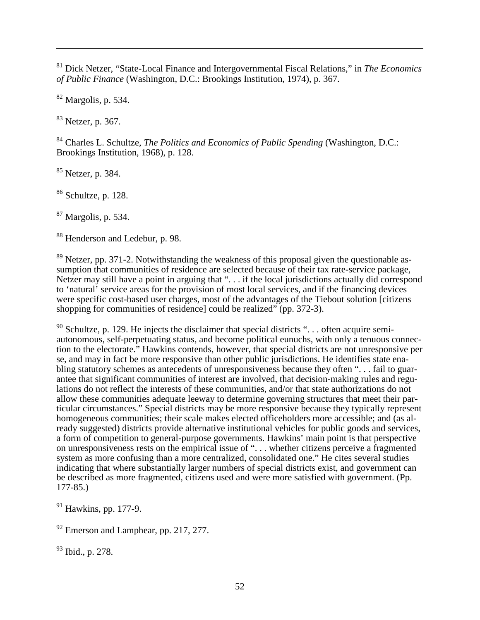<sup>81</sup> Dick Netzer, "State-Local Finance and Intergovernmental Fiscal Relations," in *The Economics of Public Finance* (Washington, D.C.: Brookings Institution, 1974), p. 367.

<sup>82</sup> Margolis, p. 534.

 $\overline{a}$ 

<sup>83</sup> Netzer, p. 367.

<span id="page-51-0"></span><sup>84</sup> Charles L. Schultze, *The Politics and Economics of Public Spending* (Washington, D.C.: Brookings Institution, 1968), p. 128.

<span id="page-51-1"></span><sup>85</sup> Netzer, p. 384.

<span id="page-51-2"></span><sup>86</sup> Schultze, p. 128.

<span id="page-51-3"></span><sup>87</sup> Margolis, p. 534.

<sup>88</sup> Henderson and Ledebur, p. 98.

<span id="page-51-4"></span> $89$  Netzer, pp. 371-2. Notwithstanding the weakness of this proposal given the questionable assumption that communities of residence are selected because of their tax rate-service package, Netzer may still have a point in arguing that ". . . if the local jurisdictions actually did correspond to 'natural' service areas for the provision of most local services, and if the financing devices were specific cost-based user charges, most of the advantages of the Tiebout solution [citizens shopping for communities of residence] could be realized" (pp. 372-3).

<span id="page-51-7"></span><span id="page-51-6"></span><span id="page-51-5"></span> $90$  Schultze, p. 129. He injects the disclaimer that special districts "... often acquire semiautonomous, self-perpetuating status, and become political eunuchs, with only a tenuous connection to the electorate." Hawkins contends, however, that special districts are not unresponsive per se, and may in fact be more responsive than other public jurisdictions. He identifies state enabling statutory schemes as antecedents of unresponsiveness because they often ". . . fail to guarantee that significant communities of interest are involved, that decision-making rules and regulations do not reflect the interests of these communities, and/or that state authorizations do not allow these communities adequate leeway to determine governing structures that meet their particular circumstances." Special districts may be more responsive because they typically represent homogeneous communities; their scale makes elected officeholders more accessible; and (as already suggested) districts provide alternative institutional vehicles for public goods and services, a form of competition to general-purpose governments. Hawkins' main point is that perspective on unresponsiveness rests on the empirical issue of ". . . whether citizens perceive a fragmented system as more confusing than a more centralized, consolidated one." He cites several studies indicating that where substantially larger numbers of special districts exist, and government can be described as more fragmented, citizens used and were more satisfied with government. (Pp. 177-85.)

<sup>91</sup> Hawkins, pp. 177-9.

 $92$  Emerson and Lamphear, pp. 217, 277.

<sup>93</sup> Ibid., p. 278.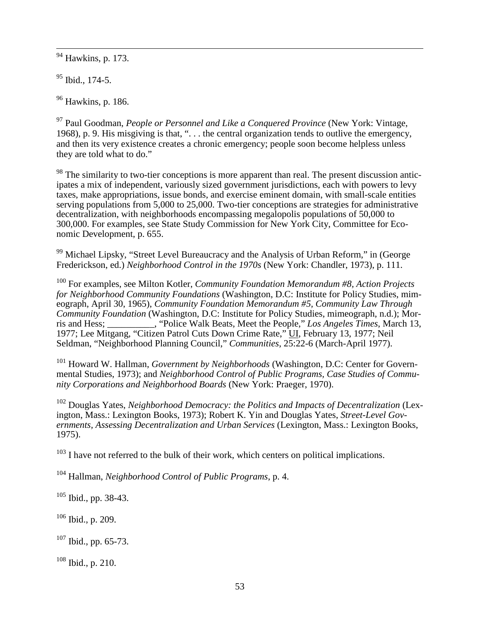<sup>94</sup> Hawkins, p. 173.

 $95$  Ibid., 174-5.

<sup>96</sup> Hawkins, p. 186.

<sup>97</sup> Paul Goodman, *People or Personnel and Like a Conquered Province* (New York: Vintage, 1968), p. 9. His misgiving is that, ". . . the central organization tends to outlive the emergency, and then its very existence creates a chronic emergency; people soon become helpless unless they are told what to do."

<sup>98</sup> The similarity to two-tier conceptions is more apparent than real. The present discussion anticipates a mix of independent, variously sized government jurisdictions, each with powers to levy taxes, make appropriations, issue bonds, and exercise eminent domain, with small-scale entities serving populations from 5,000 to 25,000. Two-tier conceptions are strategies for administrative decentralization, with neighborhoods encompassing megalopolis populations of 50,000 to 300,000. For examples, see State Study Commission for New York City, Committee for Economic Development, p. 655.

<sup>99</sup> Michael Lipsky, "Street Level Bureaucracy and the Analysis of Urban Reform," in (George Frederickson, ed.) *Neighborhood Control in the 1970s* (New York: Chandler, 1973), p. 111.

<sup>100</sup> For examples, see Milton Kotler, *Community Foundation Memorandum #8, Action Projects for Neighborhood Community Foundations* (Washington, D.C: Institute for Policy Studies, mimeograph, April 30, 1965), *Community Foundation Memorandum #5, Community Law Through Community Foundation* (Washington, D.C: Institute for Policy Studies, mimeograph, n.d.); Morris and Hess:<br>
(Police Walk Beats, Meet the People," Los Angeles Times, March 13, ris and Hessie Walk Beats, Meet the People," *Los Angeles Times*, March 13, 1977; Lee Mitgang, "Citizen Patrol Cuts Down Crime Rate," UI, February 13, 1977; Neil Seldman, "Neighborhood Planning Council," *Communities*, 25:22-6 (March-April 1977).

<span id="page-52-0"></span><sup>101</sup> Howard W. Hallman, *Government by Neighborhoods* (Washington, D.C: Center for Governmental Studies, 1973); and *Neighborhood Control of Public Programs, Case Studies of Community Corporations and Neighborhood Boards* (New York: Praeger, 1970).

<span id="page-52-2"></span><span id="page-52-1"></span><sup>102</sup> Douglas Yates, *Neighborhood Democracy: the Politics and Impacts of Decentralization* (Lexington, Mass.: Lexington Books, 1973); Robert K. Yin and Douglas Yates, *Street-Level Governments, Assessing Decentralization and Urban Services* (Lexington, Mass.: Lexington Books, 1975).

<sup>103</sup> I have not referred to the bulk of their work, which centers on political implications.

<span id="page-52-3"></span><sup>104</sup> Hallman, *Neighborhood Control of Public Programs*, p. 4.

<span id="page-52-5"></span><span id="page-52-4"></span> $105$  Ibid., pp. 38-43.

 $106$  Ibid., p. 209.

<span id="page-52-6"></span> $107$  Ibid., pp. 65-73.

<span id="page-52-7"></span> $108$  Ibid., p. 210.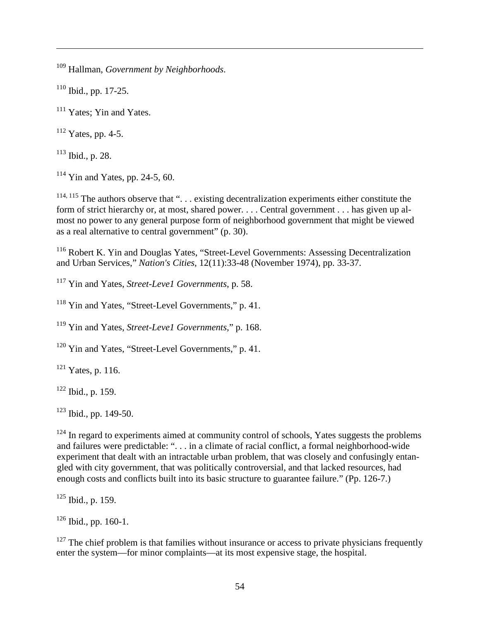<sup>109</sup> Hallman, *Government by Neighborhoods*.

<span id="page-53-0"></span> $110$  Ibid., pp. 17-25.

 $\overline{a}$ 

<span id="page-53-1"></span><sup>111</sup> Yates; Yin and Yates.

<span id="page-53-2"></span> $112$  Yates, pp. 4-5.

<span id="page-53-3"></span> $113$  Ibid., p. 28.

<span id="page-53-4"></span> $114$  Yin and Yates, pp. 24-5, 60.

<span id="page-53-5"></span> $114, 115$  The authors observe that "... existing decentralization experiments either constitute the form of strict hierarchy or, at most, shared power. . . . Central government . . . has given up almost no power to any general purpose form of neighborhood government that might be viewed as a real alternative to central government" (p. 30).

<span id="page-53-7"></span><span id="page-53-6"></span><sup>116</sup> Robert K. Yin and Douglas Yates, "Street-Level Governments: Assessing Decentralization and Urban Services," *Nation's Cities*, 12(11):33-48 (November 1974), pp. 33-37.

<span id="page-53-9"></span><span id="page-53-8"></span><sup>117</sup> Yin and Yates, *Street-Leve1 Governments*, p. 58.

<span id="page-53-10"></span><sup>118</sup> Yin and Yates, "Street-Level Governments," p. 41.

<sup>119</sup> Yin and Yates, *Street-Leve1 Governments*," p. 168.

<sup>120</sup> Yin and Yates, "Street-Level Governments," p. 41.

 $121$  Yates, p. 116.

 $122$  Ibid., p. 159.

 $123$  Ibid., pp. 149-50.

 $124$  In regard to experiments aimed at community control of schools, Yates suggests the problems and failures were predictable: ". . . in a climate of racial conflict, a formal neighborhood-wide experiment that dealt with an intractable urban problem, that was closely and confusingly entangled with city government, that was politically controversial, and that lacked resources, had enough costs and conflicts built into its basic structure to guarantee failure." (Pp. 126-7.)

 $125$  Ibid., p. 159.

 $126$  Ibid., pp. 160-1.

 $127$  The chief problem is that families without insurance or access to private physicians frequently enter the system—for minor complaints—at its most expensive stage, the hospital.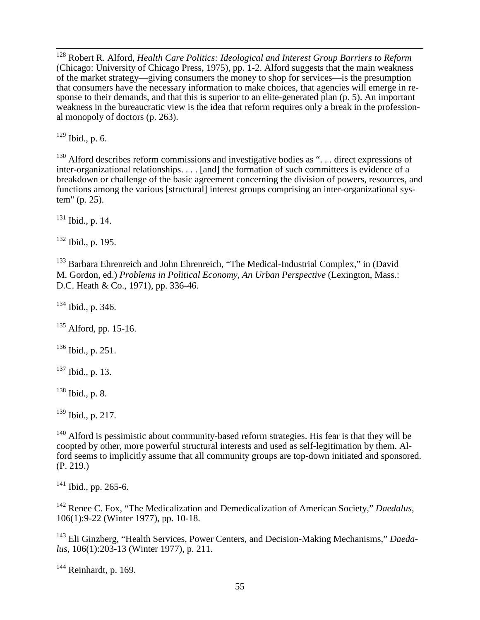128 Robert R. Alford, *Health Care Politics: Ideological and Interest Group Barriers to Reform* (Chicago: University of Chicago Press, 1975), pp. 1-2. Alford suggests that the main weakness of the market strategy—giving consumers the money to shop for services—is the presumption that consumers have the necessary information to make choices, that agencies will emerge in response to their demands, and that this is superior to an elite-generated plan (p. 5). An important weakness in the bureaucratic view is the idea that reform requires only a break in the professional monopoly of doctors (p. 263).

<sup>129</sup> Ibid., p. 6.

<sup>130</sup> Alford describes reform commissions and investigative bodies as "... direct expressions of inter-organizational relationships. . . . [and] the formation of such committees is evidence of a breakdown or challenge of the basic agreement concerning the division of powers, resources, and functions among the various [structural] interest groups comprising an inter-organizational system" (p. 25).

 $131$  Ibid., p. 14.

<sup>132</sup> Ibid., p. 195.

<sup>133</sup> Barbara Ehrenreich and John Ehrenreich, "The Medical-Industrial Complex," in (David M. Gordon, ed.) *Problems in Political Economy, An Urban Perspective* (Lexington, Mass.: D.C. Heath & Co., 1971), pp. 336-46.

 $134$  Ibid., p. 346.

<span id="page-54-0"></span> $135$  Alford, pp. 15-16.

<span id="page-54-1"></span><sup>136</sup> Ibid., p. 251.

 $137$  Ibid., p. 13.

<span id="page-54-2"></span><sup>138</sup> Ibid., p. 8.

 $139$  Ibid., p. 217.

<span id="page-54-4"></span><span id="page-54-3"></span> $140$  Alford is pessimistic about community-based reform strategies. His fear is that they will be coopted by other, more powerful structural interests and used as self-legitimation by them. Alford seems to implicitly assume that all community groups are top-down initiated and sponsored. (P. 219.)

<sup>141</sup> Ibid., pp. 265-6.

<span id="page-54-6"></span><span id="page-54-5"></span><sup>142</sup> Renee C. Fox, "The Medicalization and Demedicalization of American Society," *Daedalus*, 106(1):9-22 (Winter 1977), pp. 10-18.

<sup>143</sup> Eli Ginzberg, "Health Services, Power Centers, and Decision-Making Mechanisms," *Daedalus*, 106(1):203-13 (Winter 1977), p. 211.

 $144$  Reinhardt, p. 169.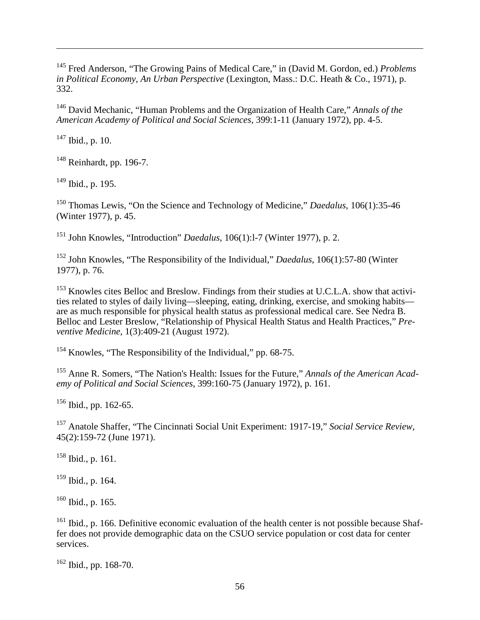<span id="page-55-2"></span><span id="page-55-1"></span><sup>145</sup> Fred Anderson, "The Growing Pains of Medical Care," in (David M. Gordon, ed.) *Problems in Political Economy, An Urban Perspective* (Lexington, Mass.: D.C. Heath & Co., 1971), p. 332.

<span id="page-55-3"></span><sup>146</sup> David Mechanic, "Human Problems and the Organization of Health Care," *Annals of the American Academy of Political and Social Sciences*, 399:1-11 (January 1972), pp. 4-5.

<span id="page-55-4"></span> $147$  Ibid., p. 10.

 $\overline{a}$ 

<span id="page-55-5"></span><sup>148</sup> Reinhardt, pp. 196-7.

<sup>149</sup> Ibid., p. 195.

<sup>150</sup> Thomas Lewis, "On the Science and Technology of Medicine," *Daedalus*, 106(1):35-46 (Winter 1977), p. 45.

<sup>151</sup> John Knowles, "Introduction" *Daedalus*, 106(1):l-7 (Winter 1977), p. 2.

<sup>152</sup> John Knowles, "The Responsibility of the Individual," *Daedalus*, 106(1):57-80 (Winter 1977), p. 76.

<sup>153</sup> Knowles cites Belloc and Breslow. Findings from their studies at U.C.L.A. show that activities related to styles of daily living—sleeping, eating, drinking, exercise, and smoking habits are as much responsible for physical health status as professional medical care. See Nedra B. Belloc and Lester Breslow, "Relationship of Physical Health Status and Health Practices," *Preventive Medicine*, 1(3):409-21 (August 1972).

<sup>154</sup> Knowles, "The Responsibility of the Individual," pp. 68-75.

<sup>155</sup> Anne R. Somers, "The Nation's Health: Issues for the Future," *Annals of the American Academy of Political and Social Sciences*, 399:160-75 (January 1972), p. 161.

 $156$  Ibid., pp. 162-65.

<sup>157</sup> Anatole Shaffer, "The Cincinnati Social Unit Experiment: 1917-19," *Social Service Review*, 45(2):159-72 (June 1971).

<sup>158</sup> Ibid., p. 161.

<sup>159</sup> Ibid., p. 164.

 $160$  Ibid., p. 165.

 $161$  Ibid., p. 166. Definitive economic evaluation of the health center is not possible because Shaffer does not provide demographic data on the CSUO service population or cost data for center services.

<span id="page-55-0"></span><sup>162</sup> Ibid., pp. 168-70.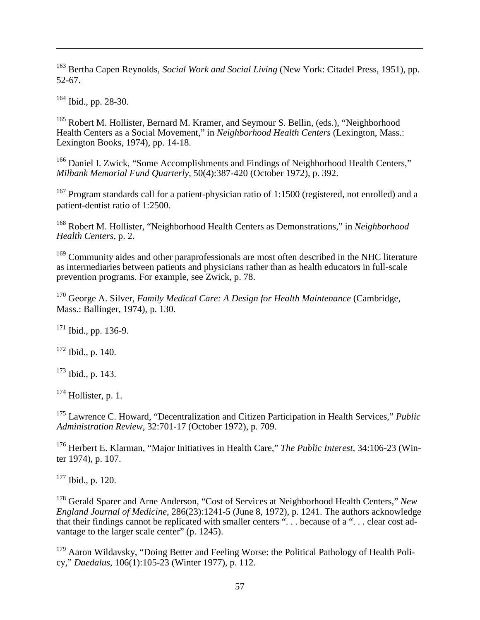<sup>163</sup> Bertha Capen Reynolds, *Social Work and Social Living* (New York: Citadel Press, 1951), pp. 52-67.

<sup>164</sup> Ibid., pp. 28-30.

 $\overline{a}$ 

<sup>165</sup> Robert M. Hollister, Bernard M. Kramer, and Seymour S. Bellin, (eds.), "Neighborhood Health Centers as a Social Movement," in *Neighborhood Health Centers* (Lexington, Mass.: Lexington Books, 1974), pp. 14-18.

<sup>166</sup> Daniel I. Zwick, "Some Accomplishments and Findings of Neighborhood Health Centers," *Milbank Memorial Fund Quarterly*, 50(4):387-420 (October 1972), p. 392.

<span id="page-56-1"></span><span id="page-56-0"></span><sup>167</sup> Program standards call for a patient-physician ratio of 1:1500 (registered, not enrolled) and a patient-dentist ratio of 1:2500.

<span id="page-56-2"></span><sup>168</sup> Robert M. Hollister, "Neighborhood Health Centers as Demonstrations," in *Neighborhood Health Centers*, p. 2.

<span id="page-56-3"></span><sup>169</sup> Community aides and other paraprofessionals are most often described in the NHC literature as intermediaries between patients and physicians rather than as health educators in full-scale prevention programs. For example, see Zwick, p. 78.

<span id="page-56-5"></span><span id="page-56-4"></span><sup>170</sup> George A. Silver, *Family Medical Care: A Design for Health Maintenance* (Cambridge, Mass.: Ballinger, 1974), p. 130.

 $171$  Ibid., pp. 136-9.

<span id="page-56-6"></span> $172$  Ibid., p. 140.

<span id="page-56-7"></span><sup>173</sup> Ibid., p. 143.

 $174$  Hollister, p. 1.

<sup>175</sup> Lawrence C. Howard, "Decentralization and Citizen Participation in Health Services," *Public Administration Review*, 32:701-17 (October 1972), p. 709.

<sup>176</sup> Herbert E. Klarman, "Major Initiatives in Health Care," *The Public Interest*, 34:106-23 (Winter 1974), p. 107.

 $177$  Ibid., p. 120.

<sup>178</sup> Gerald Sparer and Arne Anderson, "Cost of Services at Neighborhood Health Centers," *New England Journal of Medicine*, 286(23):1241-5 (June 8, 1972), p. 1241. The authors acknowledge that their findings cannot be replicated with smaller centers ". . . because of a ". . . clear cost advantage to the larger scale center" (p. 1245).

<sup>179</sup> Aaron Wildavsky, "Doing Better and Feeling Worse: the Political Pathology of Health Policy," *Daedalus*, 106(1):105-23 (Winter 1977), p. 112.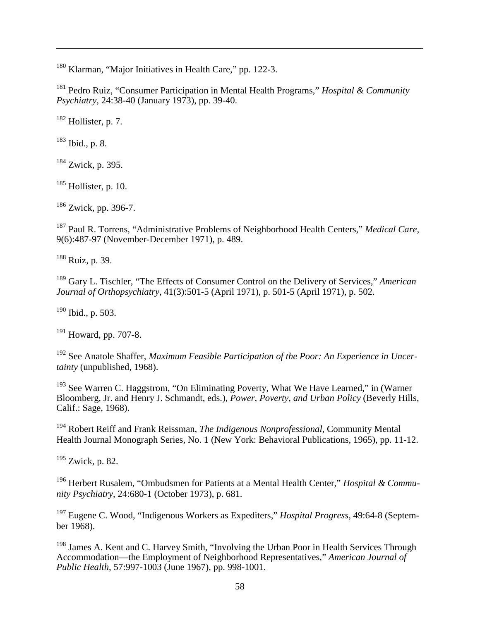<span id="page-57-4"></span><sup>180</sup> Klarman, "Major Initiatives in Health Care," pp. 122-3.

<span id="page-57-5"></span><sup>181</sup> Pedro Ruiz, "Consumer Participation in Mental Health Programs," *Hospital & Community Psychiatry*, 24:38-40 (January 1973), pp. 39-40.

 $182$  Hollister, p. 7.

 $183$  Ibid., p. 8.

 $\overline{a}$ 

 $184$  Zwick, p. 395.

 $185$  Hollister, p. 10.

<sup>186</sup> Zwick, pp. 396-7.

<sup>187</sup> Paul R. Torrens, "Administrative Problems of Neighborhood Health Centers," *Medical Care*, 9(6):487-97 (November-December 1971), p. 489.

<sup>188</sup> Ruiz, p. 39.

<sup>189</sup> Gary L. Tischler, "The Effects of Consumer Control on the Delivery of Services," *American Journal of Orthopsychiatry*, 41(3):501-5 (April 1971), p. 501-5 (April 1971), p. 502.

 $190$  Ibid., p. 503.

 $191$  Howard, pp. 707-8.

<sup>192</sup> See Anatole Shaffer, *Maximum Feasible Participation of the Poor: An Experience in Uncertainty* (unpublished, 1968).

<sup>193</sup> See Warren C. Haggstrom, "On Eliminating Poverty, What We Have Learned," in (Warner Bloomberg, Jr. and Henry J. Schmandt, eds.), *Power, Poverty, and Urban Policy* (Beverly Hills, Calif.: Sage, 1968).

<sup>194</sup> Robert Reiff and Frank Reissman, *The Indigenous Nonprofessional*, Community Mental Health Journal Monograph Series, No. 1 (New York: Behavioral Publications, 1965), pp. 11-12.

<sup>195</sup> Zwick, p. 82.

<span id="page-57-0"></span><sup>196</sup> Herbert Rusalem, "Ombudsmen for Patients at a Mental Health Center," *Hospital & Community Psychiatry*, 24:680-1 (October 1973), p. 681.

<span id="page-57-2"></span><span id="page-57-1"></span><sup>197</sup> Eugene C. Wood, "Indigenous Workers as Expediters," *Hospital Progress*, 49:64-8 (September 1968).

<span id="page-57-3"></span><sup>198</sup> James A. Kent and C. Harvey Smith, "Involving the Urban Poor in Health Services Through Accommodation—the Employment of Neighborhood Representatives," *American Journal of Public Health*, 57:997-1003 (June 1967), pp. 998-1001.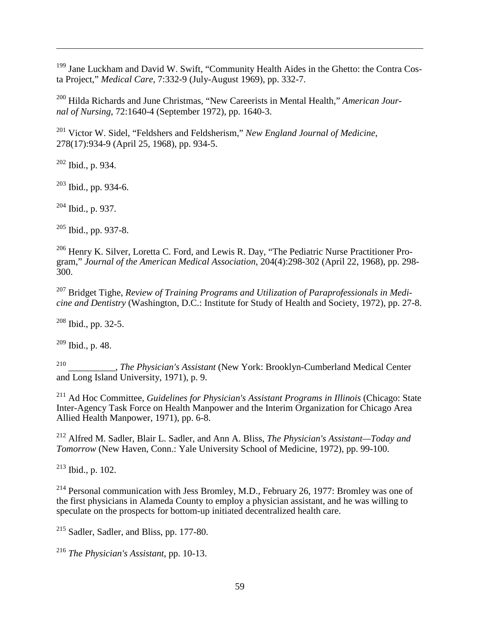<sup>199</sup> Jane Luckham and David W. Swift, "Community Health Aides in the Ghetto: the Contra Costa Project," *Medical Care*, 7:332-9 (July-August 1969), pp. 332-7.

<sup>200</sup> Hilda Richards and June Christmas, "New Careerists in Mental Health," *American Journal of Nursing*, 72:1640-4 (September 1972), pp. 1640-3.

<span id="page-58-1"></span><span id="page-58-0"></span><sup>201</sup> Victor W. Sidel, "Feldshers and Feldsherism," *New England Journal of Medicine*, 278(17):934-9 (April 25, 1968), pp. 934-5.

<span id="page-58-2"></span> $202$  Ibid., p. 934.

 $\overline{a}$ 

<span id="page-58-3"></span> $203$  Ibid., pp. 934-6.

<span id="page-58-4"></span><sup>204</sup> Ibid., p. 937.

 $205$  Ibid., pp. 937-8.

<span id="page-58-6"></span><span id="page-58-5"></span><sup>206</sup> Henry K. Silver, Loretta C. Ford, and Lewis R. Day, "The Pediatric Nurse Practitioner Program," *Journal of the American Medical Association*, 204(4):298-302 (April 22, 1968), pp. 298- 300.

<sup>207</sup> Bridget Tighe, *Review of Training Programs and Utilization of Paraprofessionals in Medicine and Dentistry* (Washington, D.C.: Institute for Study of Health and Society, 1972), pp. 27-8.

<span id="page-58-7"></span> $208$  Ibid., pp. 32-5.

 $209$  Ibid., p. 48.

<sup>210</sup> \_\_\_\_\_\_\_\_\_\_, *The Physician's Assistant* (New York: Brooklyn-Cumberland Medical Center and Long Island University, 1971), p. 9.

<sup>211</sup> Ad Hoc Committee, *Guidelines for Physician's Assistant Programs in Illinois* (Chicago: State Inter-Agency Task Force on Health Manpower and the Interim Organization for Chicago Area Allied Health Manpower, 1971), pp. 6-8.

<sup>212</sup> Alfred M. Sadler, Blair L. Sadler, and Ann A. Bliss, *The Physician's Assistant—Today and Tomorrow* (New Haven, Conn.: Yale University School of Medicine, 1972), pp. 99-100.

 $213$  Ibid., p. 102.

<span id="page-58-8"></span> $^{214}$  Personal communication with Jess Bromley, M.D., February 26, 1977: Bromley was one of the first physicians in Alameda County to employ a physician assistant, and he was willing to speculate on the prospects for bottom-up initiated decentralized health care.

 $215$  Sadler, Sadler, and Bliss, pp. 177-80.

<sup>216</sup> *The Physician's Assistant*, pp. 10-13.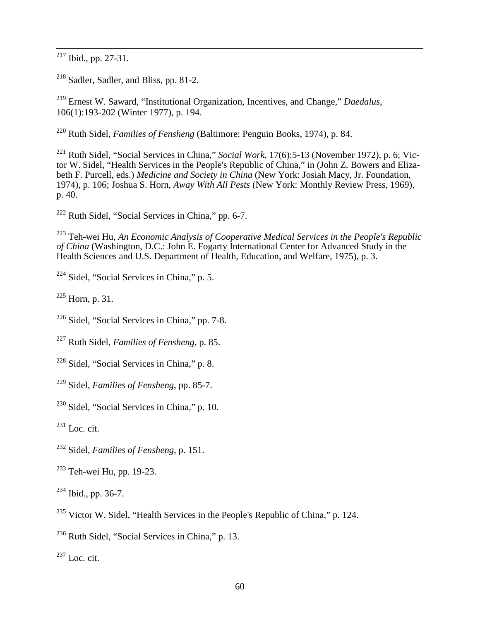<span id="page-59-2"></span>Ibid., pp. 27-31.

<span id="page-59-3"></span>Sadler, Sadler, and Bliss, pp. 81-2.

 Ernest W. Saward, "Institutional Organization, Incentives, and Change," *Daedalus*, 106(1):193-202 (Winter 1977), p. 194.

Ruth Sidel, *Families of Fensheng* (Baltimore: Penguin Books, 1974), p. 84.

 Ruth Sidel, "Social Services in China," *Social Work*, 17(6):5-13 (November 1972), p. 6; Victor W. Sidel, "Health Services in the People's Republic of China," in (John Z. Bowers and Elizabeth F. Purcell, eds.) *Medicine and Society in China* (New York: Josiah Macy, Jr. Foundation, 1974), p. 106; Joshua S. Horn, *Away With All Pests* (New York: Monthly Review Press, 1969), p. 40.

Ruth Sidel, "Social Services in China," pp. 6-7.

 Teh-wei Hu, *An Economic Analysis of Cooperative Medical Services in the People's Republic of China* (Washington, D.C.: John E. Fogarty International Center for Advanced Study in the Health Sciences and U.S. Department of Health, Education, and Welfare, 1975), p. 3.

Sidel, "Social Services in China," p. 5.

 $^{225}$  Horn, p. 31.

Sidel, "Social Services in China," pp. 7-8.

Ruth Sidel, *Families of Fensheng*, p. 85.

Sidel, "Social Services in China," p. 8.

Sidel, *Families of Fensheng*, pp. 85-7.

Sidel, "Social Services in China," p. 10.

 $^{231}$  Loc. cit.

Sidel, *Families of Fensheng*, p. 151.

Teh-wei Hu, pp. 19-23.

Ibid., pp. 36-7.

Victor W. Sidel, "Health Services in the People's Republic of China," p. 124.

<span id="page-59-0"></span>Ruth Sidel, "Social Services in China," p. 13.

<span id="page-59-1"></span> $^{237}$  Loc. cit.